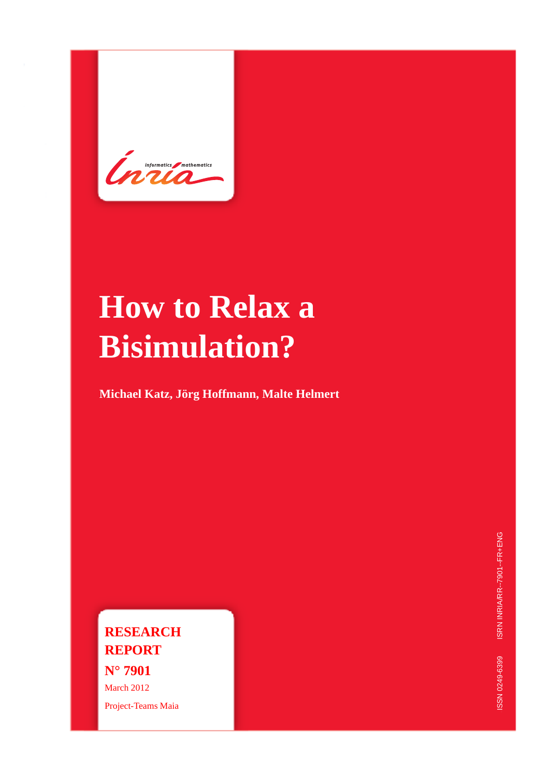Continenties / mathematics

# **How to Relax a Bisimulation?**

**Michael Katz, Jörg Hoffmann, Malte Helmert**

**RESEARCH REPORT N° 7901** March 2012 Project-Teams Maia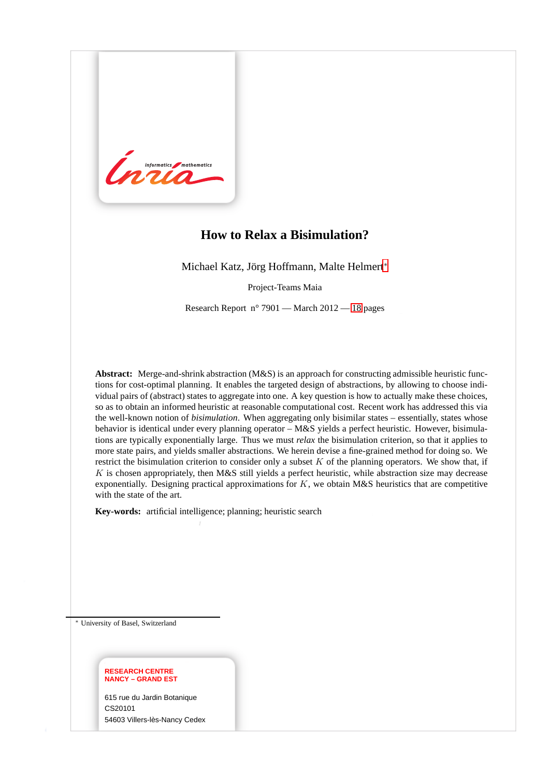

# **How to Relax a Bisimulation?**

Michael Katz, Jörg Hoffmann, Malte Helmert<sup>∗</sup>

Project-Teams Maia

Research Report n° 7901 — March 2012 — [18](#page-20-0) pages

**Abstract:** Merge-and-shrink abstraction (M&S) is an approach for constructing admissible heuristic functions for cost-optimal planning. It enables the targeted design of abstractions, by allowing to choose individual pairs of (abstract) states to aggregate into one. A key question is how to actually make these choices, so as to obtain an informed heuristic at reasonable computational cost. Recent work has addressed this via the well-known notion of *bisimulation*. When aggregating only bisimilar states – essentially, states whose behavior is identical under every planning operator – M&S yields a perfect heuristic. However, bisimulations are typically exponentially large. Thus we must *relax* the bisimulation criterion, so that it applies to more state pairs, and yields smaller abstractions. We herein devise a fine-grained method for doing so. We restrict the bisimulation criterion to consider only a subset  $K$  of the planning operators. We show that, if  $K$  is chosen appropriately, then M&S still yields a perfect heuristic, while abstraction size may decrease exponentially. Designing practical approximations for  $K$ , we obtain M&S heuristics that are competitive with the state of the art.

**Key-words:** artificial intelligence; planning; heuristic search

<sup>∗</sup> University of Basel, Switzerland

#### **RESEARCH CENTRE NANCY – GRAND EST**

615 rue du Jardin Botanique CS20101 54603 Villers-lès-Nancy Cedex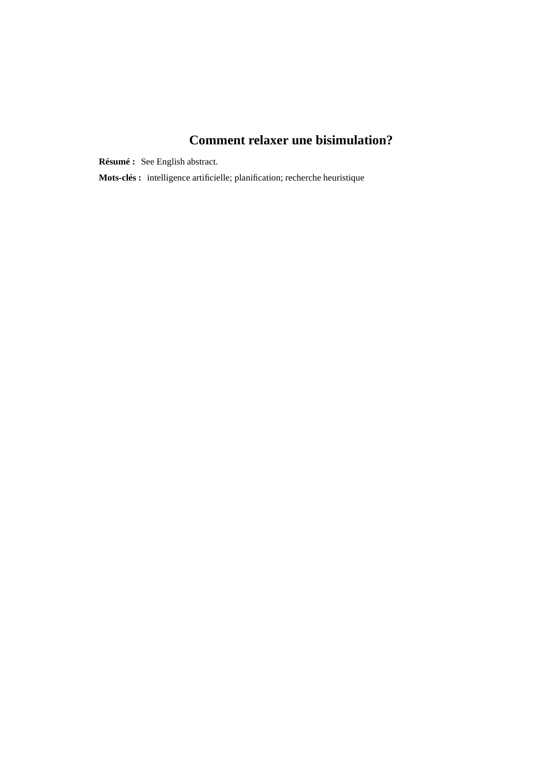# **Comment relaxer une bisimulation?**

**Résumé :** See English abstract.

**Mots-clés :** intelligence artificielle; planification; recherche heuristique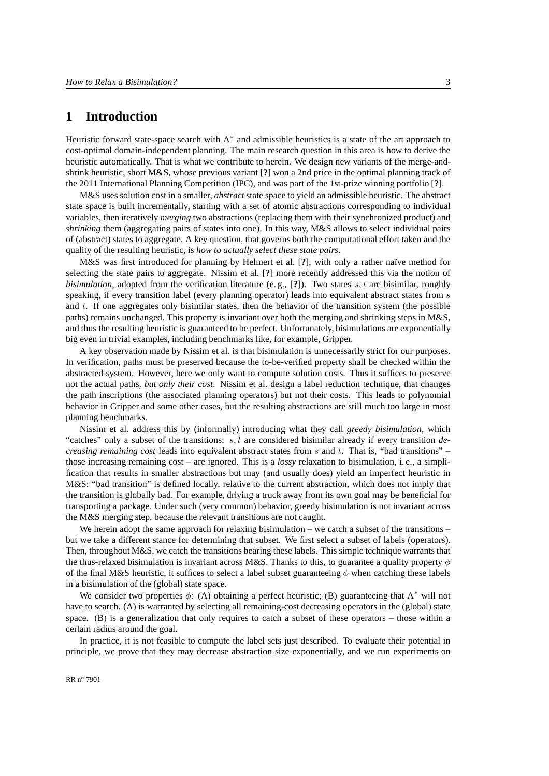# **1 Introduction**

Heuristic forward state-space search with  $A^*$  and admissible heuristics is a state of the art approach to cost-optimal domain-independent planning. The main research question in this area is how to derive the heuristic automatically. That is what we contribute to herein. We design new variants of the merge-andshrink heuristic, short M&S, whose previous variant [**?**] won a 2nd price in the optimal planning track of the 2011 International Planning Competition (IPC), and was part of the 1st-prize winning portfolio [**?**].

M&S uses solution cost in a smaller, *abstract* state space to yield an admissible heuristic. The abstract state space is built incrementally, starting with a set of atomic abstractions corresponding to individual variables, then iteratively *merging* two abstractions (replacing them with their synchronized product) and *shrinking* them (aggregating pairs of states into one). In this way, M&S allows to select individual pairs of (abstract) states to aggregate. A key question, that governs both the computational effort taken and the quality of the resulting heuristic, is *how to actually select these state pairs*.

M&S was first introduced for planning by Helmert et al. [**?**], with only a rather naïve method for selecting the state pairs to aggregate. Nissim et al. [**?**] more recently addressed this via the notion of *bisimulation*, adopted from the verification literature (e.g., [?]). Two states  $s, t$  are bisimilar, roughly speaking, if every transition label (every planning operator) leads into equivalent abstract states from s and t. If one aggregates only bisimilar states, then the behavior of the transition system (the possible paths) remains unchanged. This property is invariant over both the merging and shrinking steps in M&S, and thus the resulting heuristic is guaranteed to be perfect. Unfortunately, bisimulations are exponentially big even in trivial examples, including benchmarks like, for example, Gripper.

A key observation made by Nissim et al. is that bisimulation is unnecessarily strict for our purposes. In verification, paths must be preserved because the to-be-verified property shall be checked within the abstracted system. However, here we only want to compute solution costs. Thus it suffices to preserve not the actual paths, *but only their cost*. Nissim et al. design a label reduction technique, that changes the path inscriptions (the associated planning operators) but not their costs. This leads to polynomial behavior in Gripper and some other cases, but the resulting abstractions are still much too large in most planning benchmarks.

Nissim et al. address this by (informally) introducing what they call *greedy bisimulation*, which "catches" only a subset of the transitions: s, t are considered bisimilar already if every transition *decreasing remaining cost* leads into equivalent abstract states from s and t. That is, "bad transitions" – those increasing remaining cost – are ignored. This is a *lossy* relaxation to bisimulation, i. e., a simplification that results in smaller abstractions but may (and usually does) yield an imperfect heuristic in M&S: "bad transition" is defined locally, relative to the current abstraction, which does not imply that the transition is globally bad. For example, driving a truck away from its own goal may be beneficial for transporting a package. Under such (very common) behavior, greedy bisimulation is not invariant across the M&S merging step, because the relevant transitions are not caught.

We herein adopt the same approach for relaxing bisimulation – we catch a subset of the transitions – but we take a different stance for determining that subset. We first select a subset of labels (operators). Then, throughout M&S, we catch the transitions bearing these labels. This simple technique warrants that the thus-relaxed bisimulation is invariant across M&S. Thanks to this, to guarantee a quality property  $\phi$ of the final M&S heuristic, it suffices to select a label subset guaranteeing  $\phi$  when catching these labels in a bisimulation of the (global) state space.

We consider two properties  $\phi$ : (A) obtaining a perfect heuristic; (B) guaranteeing that A<sup>\*</sup> will not have to search. (A) is warranted by selecting all remaining-cost decreasing operators in the (global) state space. (B) is a generalization that only requires to catch a subset of these operators – those within a certain radius around the goal.

In practice, it is not feasible to compute the label sets just described. To evaluate their potential in principle, we prove that they may decrease abstraction size exponentially, and we run experiments on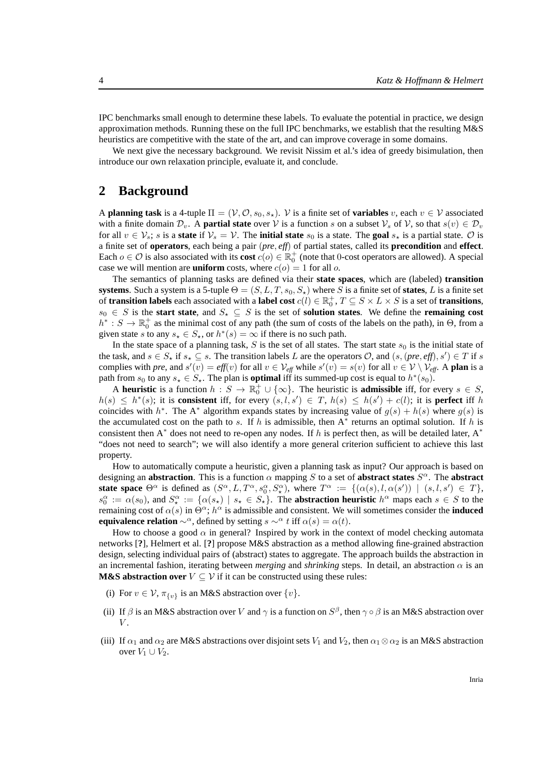IPC benchmarks small enough to determine these labels. To evaluate the potential in practice, we design approximation methods. Running these on the full IPC benchmarks, we establish that the resulting M&S heuristics are competitive with the state of the art, and can improve coverage in some domains.

We next give the necessary background. We revisit Nissim et al.'s idea of greedy bisimulation, then introduce our own relaxation principle, evaluate it, and conclude.

# **2 Background**

A **planning task** is a 4-tuple  $\Pi = (\mathcal{V}, \mathcal{O}, s_0, s_*)$ . V is a finite set of **variables** v, each  $v \in \mathcal{V}$  associated with a finite domain  $\mathcal{D}_v$ . A **partial state** over V is a function s on a subset  $\mathcal{V}_s$  of V, so that  $s(v) \in \mathcal{D}_v$ for all  $v \in V_s$ ; s is a **state** if  $V_s = V$ . The **initial state**  $s_0$  is a state. The **goal**  $s_*$  is a partial state. O is a finite set of **operators**, each being a pair (*pre*, *eff*) of partial states, called its **precondition** and **effect**. Each  $o \in \mathcal{O}$  is also associated with its **cost**  $c(o) \in \mathbb{R}^+_0$  (note that 0-cost operators are allowed). A special case we will mention are **uniform** costs, where  $c(o) = 1$  for all o.

The semantics of planning tasks are defined via their **state spaces**, which are (labeled) **transition systems**. Such a system is a 5-tuple  $\Theta = (S, L, T, s_0, S_\star)$  where S is a finite set of **states**, L is a finite set of **transition labels** each associated with a **label cost**  $c(l) \in \mathbb{R}_0^+$ ,  $T \subseteq S \times L \times S$  is a set of **transitions**,  $s_0 \in S$  is the **start state**, and  $S_* \subseteq S$  is the set of **solution states**. We define the **remaining cost**  $h^*: S \to \mathbb{R}_0^+$  as the minimal cost of any path (the sum of costs of the labels on the path), in  $\Theta$ , from a given state s to any  $s_{\star} \in S_{\star}$ , or  $h^*(s) = \infty$  if there is no such path.

In the state space of a planning task, S is the set of all states. The start state  $s_0$  is the initial state of the task, and  $s \in S_*$  if  $s_* \subseteq s$ . The transition labels L are the operators O, and  $(s, (pre, eff), s') \in T$  if s complies with *pre*, and  $s'(v) = eff(v)$  for all  $v \in V_{eff}$  while  $s'(v) = s(v)$  for all  $v \in V \setminus V_{eff}$ . A **plan** is a path from  $s_0$  to any  $s_{\star} \in S_{\star}$ . The plan is **optimal** iff its summed-up cost is equal to  $h^*(s_0)$ .

A **heuristic** is a function  $h: S \to \mathbb{R}_0^+ \cup \{\infty\}$ . The heuristic is **admissible** iff, for every  $s \in S$ ,  $h(s) \leq h^*(s)$ ; it is **consistent** iff, for every  $(s, l, s') \in T$ ,  $h(s) \leq h(s') + c(l)$ ; it is **perfect** iff h coincides with  $h^*$ . The A<sup>\*</sup> algorithm expands states by increasing value of  $g(s) + h(s)$  where  $g(s)$  is the accumulated cost on the path to s. If h is admissible, then  $A^*$  returns an optimal solution. If h is consistent then  $A^*$  does not need to re-open any nodes. If h is perfect then, as will be detailed later,  $A^*$ "does not need to search"; we will also identify a more general criterion sufficient to achieve this last property.

How to automatically compute a heuristic, given a planning task as input? Our approach is based on designing an **abstraction**. This is a function  $\alpha$  mapping S to a set of **abstract states**  $S^{\alpha}$ . The **abstract state space**  $\Theta^{\alpha}$  is defined as  $(S^{\alpha}, L, T^{\alpha}, s_0^{\alpha}, S^{\alpha})$ , where  $T^{\alpha} := \{(\alpha(s), l, \alpha(s')) \mid (s, l, s') \in T\},\$  $s_0^{\alpha} := \alpha(s_0)$ , and  $S_\star^{\alpha} := \{ \alpha(s_\star) \mid s_\star \in S_\star \}$ . The **abstraction heuristic**  $h^{\alpha}$  maps each  $s \in S$  to the remaining cost of  $\alpha(s)$  in  $\Theta^{\alpha}$ ;  $h^{\alpha}$  is admissible and consistent. We will sometimes consider the **induced equivalence relation**  $\sim^{\alpha}$ , defined by setting  $s \sim^{\alpha} t$  iff  $\alpha(s) = \alpha(t)$ .

How to choose a good  $\alpha$  in general? Inspired by work in the context of model checking automata networks [**?**], Helmert et al. [**?**] propose M&S abstraction as a method allowing fine-grained abstraction design, selecting individual pairs of (abstract) states to aggregate. The approach builds the abstraction in an incremental fashion, iterating between *merging* and *shrinking* steps. In detail, an abstraction  $\alpha$  is an **M&S abstraction over**  $V \subseteq V$  if it can be constructed using these rules:

- (i) For  $v \in V$ ,  $\pi_{\{v\}}$  is an M&S abstraction over  $\{v\}$ .
- (ii) If  $\beta$  is an M&S abstraction over V and  $\gamma$  is a function on  $S^{\beta}$ , then  $\gamma \circ \beta$  is an M&S abstraction over  $V$ .
- (iii) If  $\alpha_1$  and  $\alpha_2$  are M&S abstractions over disjoint sets  $V_1$  and  $V_2$ , then  $\alpha_1 \otimes \alpha_2$  is an M&S abstraction over  $V_1 \cup V_2$ .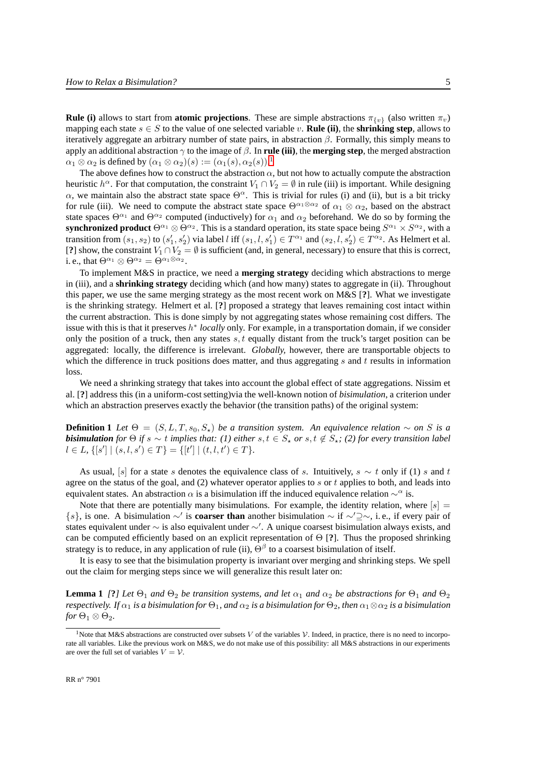**Rule (i)** allows to start from **atomic projections**. These are simple abstractions  $\pi_{\{v\}}$  (also written  $\pi_v$ ) mapping each state  $s \in S$  to the value of one selected variable v. **Rule (ii)**, the **shrinking step**, allows to iteratively aggregate an arbitrary number of state pairs, in abstraction  $\beta$ . Formally, this simply means to apply an additional abstraction  $\gamma$  to the image of  $\beta$ . In **rule (iii)**, the **merging step**, the merged abstraction  $\alpha_1 \otimes \alpha_2$  $\alpha_1 \otimes \alpha_2$  $\alpha_1 \otimes \alpha_2$  is defined by  $(\alpha_1 \otimes \alpha_2)(s) := (\alpha_1(s), \alpha_2(s))$ .<sup>1</sup>

The above defines how to construct the abstraction  $\alpha$ , but not how to actually compute the abstraction heuristic  $h^{\alpha}$ . For that computation, the constraint  $V_1 \cap V_2 = \emptyset$  in rule (iii) is important. While designing  $\alpha$ , we maintain also the abstract state space  $\Theta^{\alpha}$ . This is trivial for rules (i) and (ii), but is a bit tricky for rule (iii). We need to compute the abstract state space  $\Theta^{\alpha_1\otimes\alpha_2}$  of  $\alpha_1\otimes\alpha_2$ , based on the abstract state spaces  $\Theta^{\alpha_1}$  and  $\Theta^{\alpha_2}$  computed (inductively) for  $\alpha_1$  and  $\alpha_2$  beforehand. We do so by forming the synchronized product  $\Theta^{\alpha_1} \otimes \Theta^{\alpha_2}$ . This is a standard operation, its state space being  $S^{\alpha_1} \times S^{\alpha_2}$ , with a transition from  $(s_1, s_2)$  to  $(s'_1, s'_2)$  via label l iff  $(s_1, l, s'_1) \in T^{\alpha_1}$  and  $(s_2, l, s'_2) \in T^{\alpha_2}$ . As Helmert et al. [**?**] show, the constraint  $V_1 \cap V_2 = \emptyset$  is sufficient (and, in general, necessary) to ensure that this is correct, i. e., that  $\Theta^{\alpha_1} \otimes \Theta^{\alpha_2} = \Theta^{\alpha_1 \otimes \alpha_2}$ .

To implement M&S in practice, we need a **merging strategy** deciding which abstractions to merge in (iii), and a **shrinking strategy** deciding which (and how many) states to aggregate in (ii). Throughout this paper, we use the same merging strategy as the most recent work on M&S [**?**]. What we investigate is the shrinking strategy. Helmert et al. [**?**] proposed a strategy that leaves remaining cost intact within the current abstraction. This is done simply by not aggregating states whose remaining cost differs. The issue with this is that it preserves h ∗ *locally* only. For example, in a transportation domain, if we consider only the position of a truck, then any states  $s, t$  equally distant from the truck's target position can be aggregated: locally, the difference is irrelevant. *Globally,* however, there are transportable objects to which the difference in truck positions does matter, and thus aggregating s and t results in information loss.

We need a shrinking strategy that takes into account the global effect of state aggregations. Nissim et al. [**?**] address this (in a uniform-cost setting)via the well-known notion of *bisimulation*, a criterion under which an abstraction preserves exactly the behavior (the transition paths) of the original system:

<span id="page-6-1"></span>**Definition 1** *Let*  $\Theta = (S, L, T, s_0, S_*)$  *be a transition system. An equivalence relation* ∼ *on* S *is a bisimulation* for  $\Theta$  if  $s \sim t$  implies that: (1) either  $s, t \in S_{\star}$  or  $s, t \notin S_{\star}$ ; (2) for every transition label  $l \in L$ ,  $\{ [s'] \mid (s, l, s') \in T \} = \{ [t'] \mid (t, l, t') \in T \}.$ 

As usual, [s] for a state s denotes the equivalence class of s. Intuitively,  $s \sim t$  only if (1) s and t agree on the status of the goal, and (2) whatever operator applies to s or t applies to both, and leads into equivalent states. An abstraction  $\alpha$  is a bisimulation iff the induced equivalence relation  $\sim^{\alpha}$  is.

Note that there are potentially many bisimulations. For example, the identity relation, where  $[s] =$ {s}, is one. A bisimulation ∼′ is **coarser than** another bisimulation ∼ if ∼′⊇∼, i. e., if every pair of states equivalent under ∼ is also equivalent under ∼′ . A unique coarsest bisimulation always exists, and can be computed efficiently based on an explicit representation of Θ [**?**]. Thus the proposed shrinking strategy is to reduce, in any application of rule (ii),  $\Theta^{\beta}$  to a coarsest bisimulation of itself.

<span id="page-6-2"></span>It is easy to see that the bisimulation property is invariant over merging and shrinking steps. We spell out the claim for merging steps since we will generalize this result later on:

**Lemma 1** *[***?***] Let*  $\Theta_1$  *and*  $\Theta_2$  *be transition systems, and let*  $\alpha_1$  *and*  $\alpha_2$  *be abstractions for*  $\Theta_1$  *and*  $\Theta_2$ *respectively. If*  $\alpha_1$  *is a bisimulation for*  $\Theta_1$ *, and*  $\alpha_2$  *is a bisimulation for*  $\Theta_2$ *, then*  $\alpha_1 \otimes \alpha_2$  *is a bisimulation for*  $\Theta_1 \otimes \Theta_2$ *.* 

<span id="page-6-0"></span><sup>&</sup>lt;sup>1</sup>Note that M&S abstractions are constructed over subsets V of the variables V. Indeed, in practice, there is no need to incorporate all variables. Like the previous work on M&S, we do not make use of this possibility: all M&S abstractions in our experiments are over the full set of variables  $V = V$ .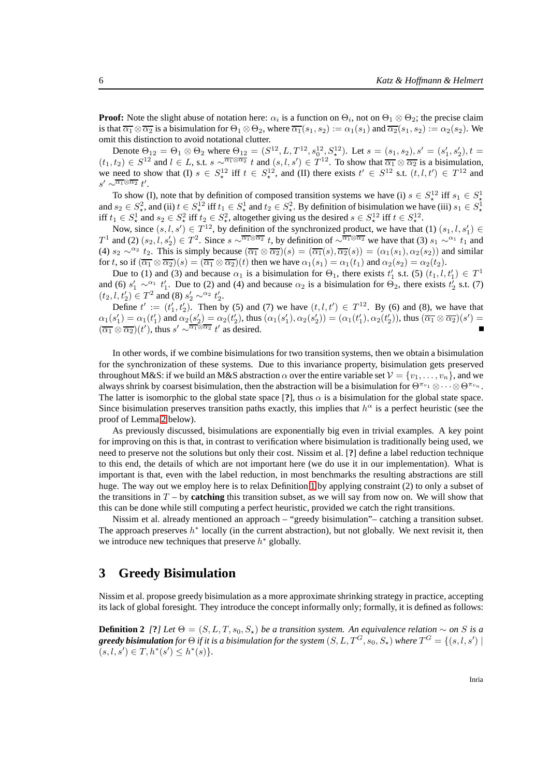**Proof:** Note the slight abuse of notation here:  $\alpha_i$  is a function on  $\Theta_i$ , not on  $\Theta_1 \otimes \Theta_2$ ; the precise claim is that  $\overline{\alpha_1} \otimes \overline{\alpha_2}$  is a bisimulation for  $\Theta_1 \otimes \Theta_2$ , where  $\overline{\alpha_1}(s_1, s_2) := \alpha_1(s_1)$  and  $\overline{\alpha_2}(s_1, s_2) := \alpha_2(s_2)$ . We omit this distinction to avoid notational clutter.

Denote  $\Theta_{12} = \Theta_1 \otimes \Theta_2$  where  $\Theta_{12} = (S^{12}, L, T^{12}, s_0^{12}, S_{\star}^{12})$ . Let  $s = (s_1, s_2), s' = (s'_1, s'_2), t =$  $(t_1, t_2) \in S^{12}$  and  $l \in L$ , s.t.  $s \sim \sqrt{\alpha_1 \otimes \alpha_2} t$  and  $(s, l, s') \in T^{12}$ . To show that  $\overline{\alpha_1} \otimes \overline{\alpha_2}$  is a bisimulation, we need to show that (I)  $s \in S_{\star}^{12}$  iff  $t \in S_{\star}^{12}$ , and (II) there exists  $t' \in S^{12}$  s.t.  $(t, l, t') \in T^{12}$  and  $s' \sim^{\overline{\alpha_1} \otimes \overline{\alpha_2}} t'.$ 

To show (I), note that by definition of composed transition systems we have (i)  $s \in S^1$  iff  $s_1 \in S^1$ To show (i), note that by definition of composed transition systems we have (i)  $s \in S^2$ ,  $\overline{m} s_1 \in S^1$ , and  $s_2 \in S^2$ , and (ii)  $t \in S^1$  if  $t_1 \in S^1$ , and  $t_2 \in S^2$ . By definition of bisimulation we have (iii)  $s_1$ iff  $t_1 \in S^1$  and  $s_2 \in S^2$  iff  $t_2 \in S^2$ , altogether giving us the desired  $s \in S^{12}$  iff  $t \in S^{12}$ .

Now, since  $(s, l, s') \in T^{12}$ , by definition of the synchronized product, we have that (1)  $(s_1, l, s'_1) \in$ T<sup>1</sup> and (2)  $(s_2, l, s'_2) \in T^2$ . Since  $s \sim \sqrt{\alpha_1 \otimes \alpha_2} t$ , by definition of  $\sim \sqrt{\alpha_1 \otimes \alpha_2}$  we have that (3)  $s_1 \sim^{\alpha_1} t_1$  and (4)  $s_2 \sim^{\alpha_2} t_2$ . This is simply because  $(\overline{\alpha_1} \otimes \overline{\alpha_2})(s) = (\overline{\alpha_1}(s), \overline{\alpha_2}(s)) = (\alpha_1(s_1), \alpha_2(s_2))$  and similar for t, so if  $(\overline{\alpha_1} \otimes \overline{\alpha_2})(s) = (\overline{\alpha_1} \otimes \overline{\alpha_2})(t)$  then we have  $\alpha_1(s_1) = \alpha_1(t_1)$  and  $\alpha_2(s_2) = \alpha_2(t_2)$ .

Due to (1) and (3) and because  $\alpha_1$  is a bisimulation for  $\Theta_1$ , there exists  $t'_1$  s.t. (5)  $(t_1, l, t'_1) \in T^1$ and (6)  $s'_1 \sim^{\alpha_1} t'_1$ . Due to (2) and (4) and because  $\alpha_2$  is a bisimulation for  $\Theta_2$ , there exists  $t'_2$  s.t. (7)  $(t_2, l, t'_2) \in T^2$  and (8)  $s'_2 \sim^{\alpha_2} t'_2$ .

Define  $t' := (t'_1, t'_2)$ . Then by (5) and (7) we have  $(t, l, t') \in T^{12}$ . By (6) and (8), we have that  $\alpha_1(s'_1) = \alpha_1(t'_1)$  and  $\alpha_2(s'_2) = \alpha_2(t'_2)$ , thus  $(\alpha_1(s'_1), \alpha_2(s'_2)) = (\alpha_1(t'_1), \alpha_2(t'_2))$ , thus  $(\overline{\alpha_1} \otimes \overline{\alpha_2})(s') =$  $(\overline{\alpha_1} \otimes \overline{\alpha_2})(t')$ , thus  $s' \sim \sqrt{\alpha_1 \otimes \alpha_2} t'$  as desired.

In other words, if we combine bisimulations for two transition systems, then we obtain a bisimulation for the synchronization of these systems. Due to this invariance property, bisimulation gets preserved throughout M&S: if we build an M&S abstraction  $\alpha$  over the entire variable set  $\mathcal{V} = \{v_1, \dots, v_n\}$ , and we always shrink by coarsest bisimulation, then the abstraction will be a bisimulation for  $\Theta^{\pi_{v_1}} \otimes \cdots \otimes \Theta^{\pi_{v_n}}$ . The latter is isomorphic to the global state space [?], thus  $\alpha$  is a bisimulation for the global state space. Since bisimulation preserves transition paths exactly, this implies that  $h^{\alpha}$  is a perfect heuristic (see the proof of Lemma [2](#page-8-0) below).

As previously discussed, bisimulations are exponentially big even in trivial examples. A key point for improving on this is that, in contrast to verification where bisimulation is traditionally being used, we need to preserve not the solutions but only their cost. Nissim et al. [**?**] define a label reduction technique to this end, the details of which are not important here (we do use it in our implementation). What is important is that, even with the label reduction, in most benchmarks the resulting abstractions are still huge. The way out we employ here is to relax Definition [1](#page-6-1) by applying constraint (2) to only a subset of the transitions in  $T - by$  **catching** this transition subset, as we will say from now on. We will show that this can be done while still computing a perfect heuristic, provided we catch the right transitions.

Nissim et al. already mentioned an approach – "greedy bisimulation"– catching a transition subset. The approach preserves  $h^*$  locally (in the current abstraction), but not globally. We next revisit it, then we introduce new techniques that preserve  $h^*$  globally.

## **3 Greedy Bisimulation**

<span id="page-7-0"></span>Nissim et al. propose greedy bisimulation as a more approximate shrinking strategy in practice, accepting its lack of global foresight. They introduce the concept informally only; formally, it is defined as follows:

**Definition 2** *[*?*] Let*  $\Theta = (S, L, T, s_0, S_*)$  *be a transition system. An equivalence relation* ∼ *on* S *is a*  $\bm{g}$ reedy bisimulation for  $\Theta$  if it is a bisimulation for the system  $(S, L, T^G, s_0, S_\star)$  where  $T^G = \{(s, l, s') \mid$  $(s, l, s') \in T, h^*(s') \leq h^*(s)$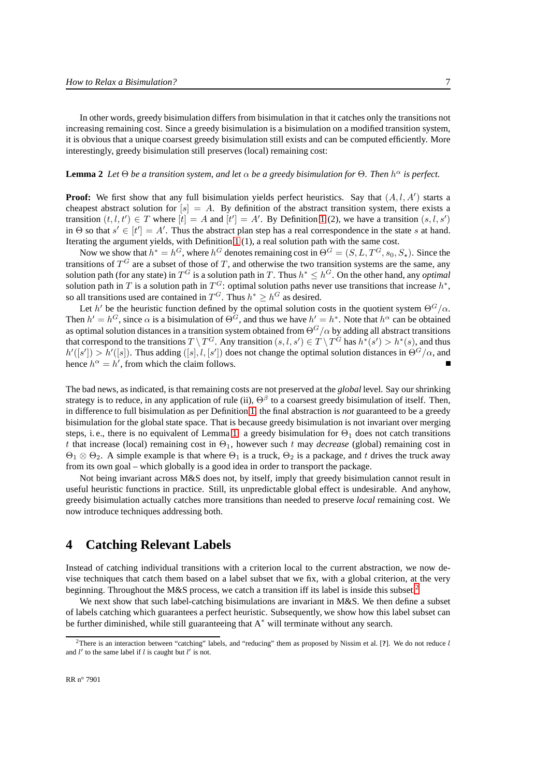In other words, greedy bisimulation differs from bisimulation in that it catches only the transitions not increasing remaining cost. Since a greedy bisimulation is a bisimulation on a modified transition system, it is obvious that a unique coarsest greedy bisimulation still exists and can be computed efficiently. More interestingly, greedy bisimulation still preserves (local) remaining cost:

#### <span id="page-8-0"></span>**Lemma 2** *Let*  $\Theta$  *be a transition system, and let*  $\alpha$  *be a greedy bisimulation for*  $\Theta$ *. Then*  $h^{\alpha}$  *is perfect.*

**Proof:** We first show that any full bisimulation yields perfect heuristics. Say that  $(A, l, A')$  starts a cheapest abstract solution for  $[s] = A$ . By definition of the abstract transition system, there exists a transition  $(t, l, t') \in T$  where  $[t] = A$  and  $[t'] = A'$ . By Definition [1](#page-6-1) (2), we have a transition  $(s, l, s')$ in  $\Theta$  so that  $s' \in [t'] = A'$ . Thus the abstract plan step has a real correspondence in the state s at hand. Iterating the argument yields, with Definition [1](#page-6-1) (1), a real solution path with the same cost.

Now we show that  $h^* = h^G$ , where  $h^G$  denotes remaining cost in  $\Theta^G = (S, L, T^G, s_0, S_*)$ . Since the transitions of  $T<sup>G</sup>$  are a subset of those of T, and otherwise the two transition systems are the same, any solution path (for any state) in  $T^G$  is a solution path in T. Thus  $h^* \leq h^G$ . On the other hand, any *optimal* solution path in T is a solution path in  $T^G$ : optimal solution paths never use transitions that increase  $h^*$ , so all transitions used are contained in  $T^G$ . Thus  $h^* \geq h^G$  as desired.

Let  $h'$  be the heuristic function defined by the optimal solution costs in the quotient system  $\Theta$ <sup>G</sup>/ $\alpha$ . Then  $h' = h^G$ , since  $\alpha$  is a bisimulation of  $\Theta^G$ , and thus we have  $h' = h^*$ . Note that  $h^{\alpha}$  can be obtained as optimal solution distances in a transition system obtained from  $\Theta$ <sup>G</sup>/ $\alpha$  by adding all abstract transitions that correspond to the transitions  $T \setminus T^G$ . Any transition  $(s, l, s') \in T \setminus T^G$  has  $h^*(s') > h^*(s)$ , and thus  $h'([s']) > h'([s])$ . Thus adding  $([s], l, [s'])$  does not change the optimal solution distances in  $\Theta^G/\alpha$ , and hence  $h^{\alpha} = h'$ , from which the claim follows.

The bad news, as indicated, is that remaining costs are not preserved at the *global* level. Say our shrinking strategy is to reduce, in any application of rule (ii),  $\Theta^{\beta}$  to a coarsest greedy bisimulation of itself. Then, in difference to full bisimulation as per Definition [1,](#page-6-1) the final abstraction is *not* guaranteed to be a greedy bisimulation for the global state space. That is because greedy bisimulation is not invariant over merging steps, i.e., there is no equivalent of Lemma [1:](#page-6-2) a greedy bisimulation for  $\Theta_1$  does not catch transitions t that increase (local) remaining cost in  $\Theta_1$ , however such t may *decrease* (global) remaining cost in  $\Theta_1 \otimes \Theta_2$ . A simple example is that where  $\Theta_1$  is a truck,  $\Theta_2$  is a package, and t drives the truck away from its own goal – which globally is a good idea in order to transport the package.

Not being invariant across M&S does not, by itself, imply that greedy bisimulation cannot result in useful heuristic functions in practice. Still, its unpredictable global effect is undesirable. And anyhow, greedy bisimulation actually catches more transitions than needed to preserve *local* remaining cost. We now introduce techniques addressing both.

### **4 Catching Relevant Labels**

Instead of catching individual transitions with a criterion local to the current abstraction, we now devise techniques that catch them based on a label subset that we fix, with a global criterion, at the very beginning. Throughout the M&S process, we catch a transition iff its label is inside this subset.<sup>[2](#page-8-1)</sup>

We next show that such label-catching bisimulations are invariant in M&S. We then define a subset of labels catching which guarantees a perfect heuristic. Subsequently, we show how this label subset can be further diminished, while still guaranteeing that A<sup>∗</sup> will terminate without any search.

<span id="page-8-1"></span><sup>&</sup>lt;sup>2</sup>There is an interaction between "catching" labels, and "reducing" them as proposed by Nissim et al. [?]. We do not reduce l and  $l'$  to the same label if l is caught but  $l'$  is not.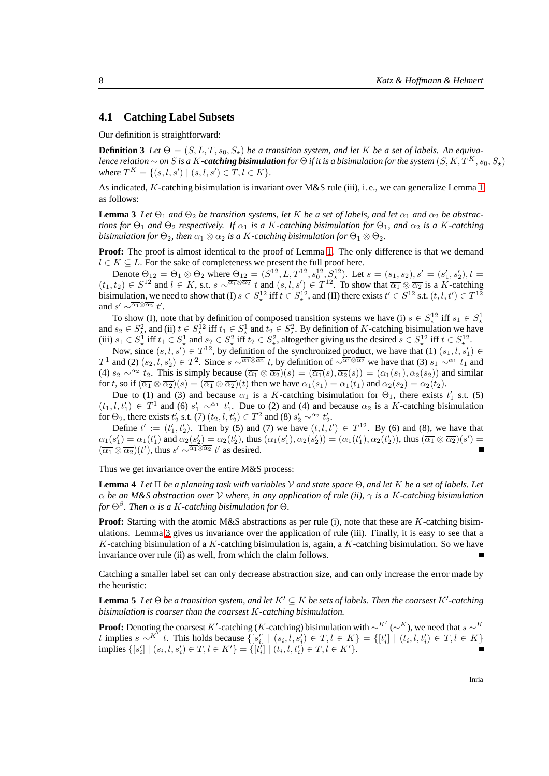#### **4.1 Catching Label Subsets**

Our definition is straightforward:

**Definition 3** *Let*  $\Theta = (S, L, T, s_0, S_*)$  *be a transition system, and let* K *be a set of labels. An equivalence relation* ∼ *on* S *is a* K-**catching bisimulation** for  $\Theta$  *if it is a bisimulation for the system*  $(S, K, T^K, s_0, S_*)$ *where*  $T^K = \{(s, l, s') | (s, l, s') \in T, l \in K\}.$ 

<span id="page-9-0"></span>As indicated, K-catching bisimulation is invariant over M&S rule (iii), i. e., we can generalize Lemma [1](#page-6-2) as follows:

**Lemma 3** *Let*  $\Theta_1$  *and*  $\Theta_2$  *be transition systems, let* K *be a set of labels, and let*  $\alpha_1$  *and*  $\alpha_2$  *be abstractions for*  $\Theta_1$  *and*  $\Theta_2$  *respectively. If*  $\alpha_1$  *is a* K-catching bisimulation for  $\Theta_1$ , and  $\alpha_2$  is a K-catching *bisimulation for*  $\Theta_2$ *, then*  $\alpha_1 \otimes \alpha_2$  *is a K*-catching bisimulation for  $\Theta_1 \otimes \Theta_2$ .

**Proof:** The proof is almost identical to the proof of Lemma [1.](#page-6-2) The only difference is that we demand  $l \in K \subseteq L$ . For the sake of completeness we present the full proof here.

Denote  $\Theta_{12} = \Theta_1 \otimes \Theta_2$  where  $\Theta_{12} = (S^{12}, L, T^{12}, s_0^{12}, S^{12}_\star)$ . Let  $s = (s_1, s_2), s' = (s'_1, s'_2), t =$  $(t_1, t_2) \in S^{12}$  and  $l \in K$ , s.t.  $s \sim \sqrt{\alpha_1 \otimes \alpha_2} t$  and  $(s, l, s') \in T^{12}$ . To show that  $\overline{\alpha_1} \otimes \overline{\alpha_2}$  is a K-catching bisimulation, we need to show that (I)  $s \in S^{12}_*$  iff  $t \in S^{12}_*$ , and (II) there exists  $t' \in S^{12}$  s.t.  $(t, l, t') \in T^{12}$ and  $s' \sim \sqrt{\alpha_1 \otimes \alpha_2} t'$ .

To show (I), note that by definition of composed transition systems we have (i)  $s \in S^1$  iff  $s_1 \in S^1$ To show (1), note that by definition of composed transition systems we have (1)  $s \in S_{\star}$ . In  $s_1 \in S_{\star}$  and  $s_2 \in S_{\star}^2$ , and (ii)  $t \in S_{\star}^1$  and  $t_2 \in S_{\star}^2$ . By definition of K-catching bisimulation we have (iii)  $s_1 \in S^1$  iff  $t_1 \in S^1$  and  $s_2 \in S^2$  iff  $t_2 \in S^2$ , altogether giving us the desired  $s \in S^{12}$  iff  $t \in S^{12}$ .

Now, since  $(s, l, s') \in T^{12}$ , by definition of the synchronized product, we have that  $(1)$   $(s_1, l, s'_1) \in$ T<sup>1</sup> and (2)  $(s_2, l, s'_2) \in T^2$ . Since  $s \sim \sqrt{\alpha_1 \otimes \alpha_2} t$ , by definition of  $\sim \sqrt{\alpha_1 \otimes \alpha_2}$  we have that (3)  $s_1 \sim^{\alpha_1} t_1$  and (4)  $s_2 \sim^{\alpha_2} t_2$ . This is simply because  $(\overline{\alpha_1} \otimes \overline{\alpha_2})(s) = (\overline{\alpha_1}(s), \overline{\alpha_2}(s)) = (\alpha_1(s_1), \alpha_2(s_2))$  and similar for t, so if  $(\overline{\alpha_1} \otimes \overline{\alpha_2})(s) = (\overline{\alpha_1} \otimes \overline{\alpha_2})(t)$  then we have  $\alpha_1(s_1) = \alpha_1(t_1)$  and  $\alpha_2(s_2) = \alpha_2(t_2)$ .

Due to (1) and (3) and because  $\alpha_1$  is a K-catching bisimulation for  $\Theta_1$ , there exists  $t'_1$  s.t. (5)  $(t_1, l, t'_1) \in T^1$  and (6)  $s'_1 \sim^{\alpha_1} t'_1$ . Due to (2) and (4) and because  $\alpha_2$  is a K-catching bisimulation for  $\Theta_2$ , there exists  $t'_2$  s.t. (7)  $(t_2, l, t'_2) \in T^2$  and (8)  $s'_2 \sim^{\alpha_2} t'_2$ .

Define  $t' := (t'_1, t'_2)$ . Then by (5) and (7) we have  $(t, l, t') \in T^{12}$ . By (6) and (8), we have that  $\alpha_1(s'_1) = \alpha_1(t'_1)$  and  $\alpha_2(s'_2) = \alpha_2(t'_2)$ , thus  $(\alpha_1(s'_1), \alpha_2(s'_2)) = (\alpha_1(t'_1), \alpha_2(t'_2))$ , thus  $(\overline{\alpha_1} \otimes \overline{\alpha_2})(s') =$  $(\overline{\alpha_1} \otimes \overline{\alpha_2})(t')$ , thus  $s' \sim \sqrt{\alpha_1 \otimes \alpha_2} t'$  as desired.

<span id="page-9-2"></span>Thus we get invariance over the entire M&S process:

**Lemma 4** *Let* Π *be a planning task with variables* V *and state space* Θ*, and let* K *be a set of labels. Let* α *be an M&S abstraction over* V *where, in any application of rule (ii),* γ *is a* K*-catching bisimulation* for  $\Theta^{\beta}$ *. Then*  $\alpha$  *is a K*-catching bisimulation for  $\Theta$ .

**Proof:** Starting with the atomic M&S abstractions as per rule (i), note that these are K-catching bisimulations. Lemma [3](#page-9-0) gives us invariance over the application of rule (iii). Finally, it is easy to see that a K-catching bisimulation of a K-catching bisimulation is, again, a K-catching bisimulation. So we have invariance over rule (ii) as well, from which the claim follows.

<span id="page-9-1"></span>Catching a smaller label set can only decrease abstraction size, and can only increase the error made by the heuristic:

**Lemma 5** *Let*  $\Theta$  *be a transition system, and let*  $K' \subseteq K$  *be sets of labels. Then the coarsest*  $K'$ -catching *bisimulation is coarser than the coarsest* K*-catching bisimulation.*

**Proof:** Denoting the coarsest K'-catching (K-catching) bisimulation with  $\sim^{K'}$  ( $\sim^{K}$ ), we need that  $s \sim^{K}$ t implies  $s \sim^{K^7} t$ . This holds because  $\{ [s'_i] \mid (s_i, l, s'_i) \in T, l \in K \} = \{ [t'_i] \mid (t_i, l, t'_i) \in T, l \in K \}$ implies  $\{ [s'_i] \mid (s_i, l, s'_i) \in T, l \in K' \} = \{ [t'_i] \mid (t_i, l, t'_i) \in T, l \in K' \}.$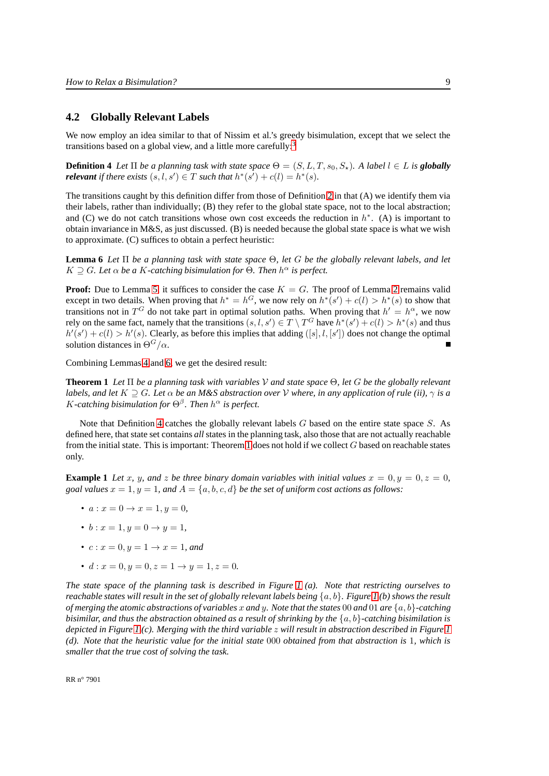#### **4.2 Globally Relevant Labels**

<span id="page-10-1"></span>We now employ an idea similar to that of Nissim et al.'s greedy bisimulation, except that we select the transitions based on a global view, and a little more carefully:[3](#page-11-0)

**Definition 4** *Let*  $\Pi$  *be a planning task with state space*  $\Theta = (S, L, T, s_0, S_*)$ *. A label*  $l \in L$  *is globally relevant* if there exists  $(s, l, s') \in T$  such that  $h^*(s') + c(l) = h^*(s)$ .

The transitions caught by this definition differ from those of Definition [2](#page-7-0) in that (A) we identify them via their labels, rather than individually; (B) they refer to the global state space, not to the local abstraction; and (C) we do not catch transitions whose own cost exceeds the reduction in  $h^*$ . (A) is important to obtain invariance in M&S, as just discussed. (B) is needed because the global state space is what we wish to approximate. (C) suffices to obtain a perfect heuristic:

<span id="page-10-0"></span>**Lemma 6** *Let* Π *be a planning task with state space* Θ*, let* G *be the globally relevant labels, and let*  $K \supseteq G$ *. Let*  $\alpha$  *be* a *K*-catching bisimulation for  $\Theta$ *. Then*  $h^{\alpha}$  *is perfect.* 

**Proof:** Due to Lemma [5,](#page-9-1) it suffices to consider the case  $K = G$ . The proof of Lemma [2](#page-8-0) remains valid except in two details. When proving that  $h^* = h^G$ , we now rely on  $h^*(s') + c(l) > h^*(s)$  to show that transitions not in  $T^G$  do not take part in optimal solution paths. When proving that  $h' = h^{\alpha}$ , we now rely on the same fact, namely that the transitions  $(s, l, s') \in T \setminus T^G$  have  $h^*(s') + c(l) > h^*(s)$  and thus  $h'(s') + c(1) > h'(s)$ . Clearly, as before this implies that adding  $([s], l, [s'])$  does not change the optimal solution distances in  $\Theta$ <sup>G</sup>/ $\alpha$ .

<span id="page-10-2"></span>Combining Lemmas [4](#page-9-2) and [6,](#page-10-0) we get the desired result:

**Theorem 1** *Let* Π *be a planning task with variables* V *and state space* Θ*, let* G *be the globally relevant labels, and let*  $K \supset G$ *. Let*  $\alpha$  *be an M&S abstraction over*  $V$  *where, in any application of rule (ii),*  $\gamma$  *is a* K-catching bisimulation for  $\Theta^{\beta}$ . Then  $h^{\alpha}$  is perfect.

Note that Definition [4](#page-10-1) catches the globally relevant labels  $G$  based on the entire state space  $S$ . As defined here, that state set contains *all* states in the planning task, also those that are not actually reachable from the initial state. This is important: Theorem [1](#page-10-2) does not hold if we collect  $G$  based on reachable states only.

<span id="page-10-3"></span>**Example 1** Let x, y, and z be three binary domain variables with initial values  $x = 0, y = 0, z = 0$ , *goal values*  $x = 1$ ,  $y = 1$ , and  $A = \{a, b, c, d\}$  *be the set of uniform cost actions as follows:* 

- $a: x = 0 \rightarrow x = 1, y = 0,$
- $b: x = 1, y = 0 \rightarrow y = 1$ ,
- $c: x = 0, y = 1 \rightarrow x = 1, and$
- $d: x = 0, y = 0, z = 1 \rightarrow y = 1, z = 0.$

*The state space of the planning task is described in Figure [1](#page-11-1) (a). Note that restricting ourselves to reachable states will result in the set of globally relevant labels being* {a, b}*. Figure [1](#page-11-1) (b) shows the result of merging the atomic abstractions of variables* x *and* y*. Note that the states* 00 *and* 01 *are* {a, b}*-catching bisimilar, and thus the abstraction obtained as a result of shrinking by the*  $\{a, b\}$ *-catching bisimilation is depicted in Figure [1](#page-11-1) (c). Merging with the third variable* z *will result in abstraction described in Figure [1](#page-11-1) (d). Note that the heuristic value for the initial state* 000 *obtained from that abstraction is* 1*, which is smaller that the true cost of solving the task.*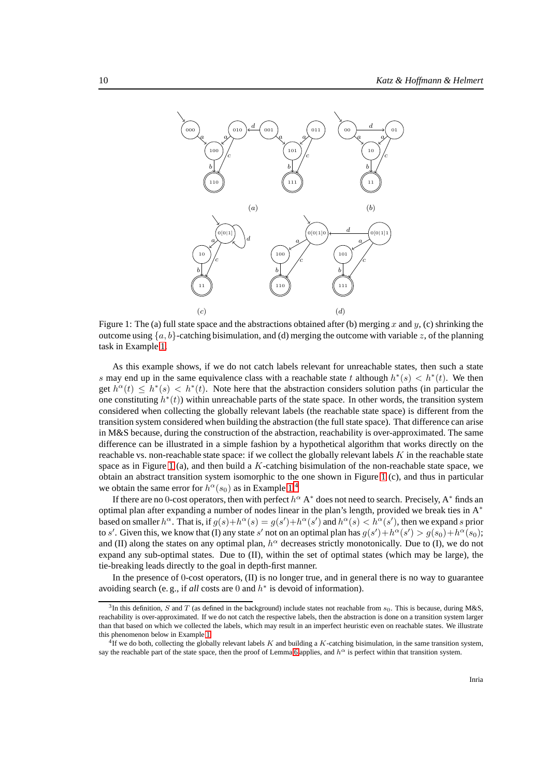

<span id="page-11-1"></span>Figure 1: The (a) full state space and the abstractions obtained after (b) merging x and y, (c) shrinking the outcome using  $\{a, b\}$ -catching bisimulation, and (d) merging the outcome with variable z, of the planning task in Example [1.](#page-10-3)

As this example shows, if we do not catch labels relevant for unreachable states, then such a state s may end up in the same equivalence class with a reachable state t although  $h^*(s) < h^*(t)$ . We then get  $h^{\alpha}(t) \leq h^{*}(s) < h^{*}(t)$ . Note here that the abstraction considers solution paths (in particular the one constituting  $h^*(t)$ ) within unreachable parts of the state space. In other words, the transition system considered when collecting the globally relevant labels (the reachable state space) is different from the transition system considered when building the abstraction (the full state space). That difference can arise in M&S because, during the construction of the abstraction, reachability is over-approximated. The same difference can be illustrated in a simple fashion by a hypothetical algorithm that works directly on the reachable vs. non-reachable state space: if we collect the globally relevant labels K in the reachable state space as in Figure [1](#page-11-1) (a), and then build a K-catching bisimulation of the non-reachable state space, we obtain an abstract transition system isomorphic to the one shown in Figure [1](#page-11-1) (c), and thus in particular we obtain the same error for  $h^{\alpha}(s_0)$  as in Example [1.](#page-10-3)<sup>[4](#page-11-2)</sup>

If there are no 0-cost operators, then with perfect  $h^{\alpha}$  A<sup>\*</sup> does not need to search. Precisely, A<sup>\*</sup> finds an optimal plan after expanding a number of nodes linear in the plan's length, provided we break ties in  $A^*$ based on smaller  $h^{\alpha}$ . That is, if  $g(s)+h^{\alpha}(s)=g(s')+h^{\alpha}(s')$  and  $h^{\alpha}(s) < h^{\alpha}(s')$ , then we expand s prior to s'. Given this, we know that (I) any state s' not on an optimal plan has  $g(s') + h^{\alpha}(s') > g(s_0) + h^{\alpha}(s_0)$ ; and (II) along the states on any optimal plan,  $h^{\alpha}$  decreases strictly monotonically. Due to (I), we do not expand any sub-optimal states. Due to (II), within the set of optimal states (which may be large), the tie-breaking leads directly to the goal in depth-first manner.

In the presence of 0-cost operators, (II) is no longer true, and in general there is no way to guarantee avoiding search (e.g., if  $all$  costs are 0 and  $h^*$  is devoid of information).

<span id="page-11-0"></span><sup>&</sup>lt;sup>3</sup>In this definition, S and T (as defined in the background) include states not reachable from  $s_0$ . This is because, during M&S, reachability is over-approximated. If we do not catch the respective labels, then the abstraction is done on a transition system larger than that based on which we collected the labels, which may result in an imperfect heuristic even on reachable states. We illustrate this phenomenon below in Example [1.](#page-10-3)

<span id="page-11-2"></span> $^{4}$ If we do both, collecting the globally relevant labels K and building a K-catching bisimulation, in the same transition system, say the reachable part of the state space, then the proof of Lemma [6](#page-10-0) applies, and  $h^{\alpha}$  is perfect within that transition system.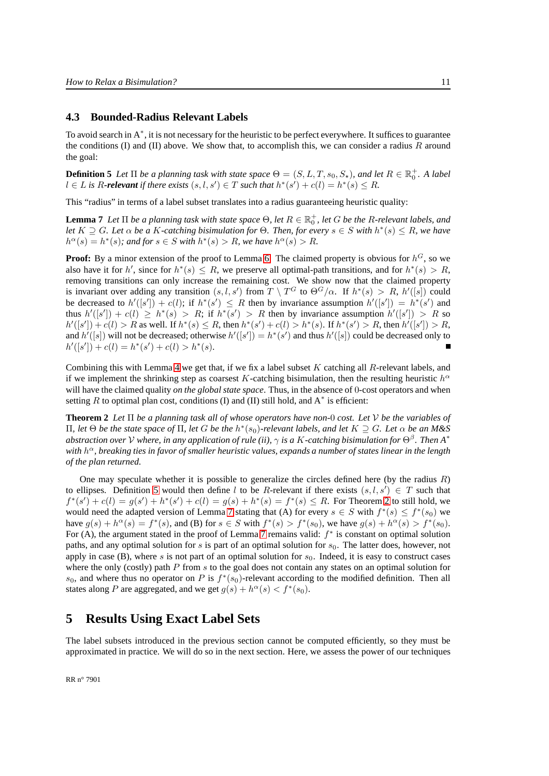#### **4.3 Bounded-Radius Relevant Labels**

To avoid search in  $A^*$ , it is not necessary for the heuristic to be perfect everywhere. It suffices to guarantee the conditions (I) and (II) above. We show that, to accomplish this, we can consider a radius  $R$  around the goal:

<span id="page-12-0"></span>**Definition 5** Let  $\Pi$  be a planning task with state space  $\Theta = (S, L, T, s_0, S_*)$ , and let  $R \in \mathbb{R}_0^+$ . A label  $l ∈ L$  is R-relevant if there exists  $(s, l, s') ∈ T$  such that  $h^*(s') + c(l) = h^*(s) ≤ R$ .

<span id="page-12-2"></span>This "radius" in terms of a label subset translates into a radius guaranteeing heuristic quality:

**Lemma 7** Let  $\Pi$  be a planning task with state space  $\Theta$ , let  $R \in \mathbb{R}^+_0$ , let G be the R-relevant labels, and *let*  $K \supseteq G$ *. Let*  $\alpha$  *be* a K-catching bisimulation for  $\Theta$ *. Then, for every*  $s \in S$  *with*  $h^*(s) \leq R$ *, we have*  $h^{\alpha}(s) = h^*(s)$ ; and for  $s \in S$  with  $h^*(s) > R$ , we have  $h^{\alpha}(s) > R$ .

**Proof:** By a minor extension of the proof to Lemma [6.](#page-10-0) The claimed property is obvious for  $h^G$ , so we also have it for h', since for  $h^*(s) \leq R$ , we preserve all optimal-path transitions, and for  $h^*(s) > R$ , removing transitions can only increase the remaining cost. We show now that the claimed property is invariant over adding any transition  $(s, l, s')$  from  $T \setminus T^G$  to  $\Theta^G/\alpha$ . If  $h^*(s) > R$ ,  $h'([s])$  could be decreased to  $h'([s']) + c(l)$ ; if  $h^*(s') \leq R$  then by invariance assumption  $h'([s']) = h^*(s')$  and thus  $h'([s']) + c(l) \geq h^*(s) > R$ ; if  $h^*(s') > R$  then by invariance assumption  $h'([s']) > R$  so  $h'([s']) + c(l) > R$  as well. If  $h^*(s) \leq R$ , then  $h^*(s') + c(l) > h^*(s)$ . If  $h^*(s') > R$ , then  $h'([s']) > R$ , and  $h'([s])$  will not be decreased; otherwise  $h'([s']) = h^*(s')$  and thus  $h'([s])$  could be decreased only to  $h'([s']) + c(l) = h^*(s') + c(l) > h^*(s).$ 

Combining this with Lemma [4](#page-9-2) we get that, if we fix a label subset K catching all R-relevant labels, and if we implement the shrinking step as coarsest K-catching bisimulation, then the resulting heuristic  $h^{\alpha}$ will have the claimed quality *on the global state space*. Thus, in the absence of 0-cost operators and when setting R to optimal plan cost, conditions (I) and (II) still hold, and  $A^*$  is efficient:

<span id="page-12-1"></span>**Theorem 2** *Let* Π *be a planning task all of whose operators have non-*0 *cost. Let* V *be the variables of* Π*, let* Θ *be the state space of* Π*, let* G *be the* h ∗ (s0)*-relevant labels, and let* K ⊇ G*. Let* α *be an M&S abstraction over* V *where, in any application of rule (ii),* γ *is a* K*-catching bisimulation for* Θ<sup>β</sup> *. Then A*<sup>∗</sup> *with* h <sup>α</sup>*, breaking ties in favor of smaller heuristic values, expands a number of states linear in the length of the plan returned.*

One may speculate whether it is possible to generalize the circles defined here (by the radius  $R$ ) to ellipses. Definition [5](#page-12-0) would then define l to be R-relevant if there exists  $(s, l, s') \in T$  such that  $f^*(s') + c(l) = g(s') + h^*(s') + c(l) = g(s) + h^*(s) = f^*(s) \leq R$ . For Theorem [2](#page-12-1) to still hold, we would need the adapted version of Lemma [7](#page-12-2) stating that (A) for every  $s \in S$  with  $f^*(s) \leq f^*(s_0)$  we have  $g(s) + h^{\alpha}(s) = f^*(s)$ , and (B) for  $s \in S$  with  $f^*(s) > f^*(s_0)$ , we have  $g(s) + h^{\alpha}(s) > f^*(s_0)$ . For (A), the argument stated in the proof of Lemma [7](#page-12-2) remains valid:  $f^*$  is constant on optimal solution paths, and any optimal solution for s is part of an optimal solution for  $s<sub>0</sub>$ . The latter does, however, not apply in case (B), where s is not part of an optimal solution for  $s_0$ . Indeed, it is easy to construct cases where the only (costly) path  $P$  from  $s$  to the goal does not contain any states on an optimal solution for  $s_0$ , and where thus no operator on P is  $f^*(s_0)$ -relevant according to the modified definition. Then all states along P are aggregated, and we get  $g(s) + h^{\alpha}(s) < f^*(s_0)$ .

# **5 Results Using Exact Label Sets**

The label subsets introduced in the previous section cannot be computed efficiently, so they must be approximated in practice. We will do so in the next section. Here, we assess the power of our techniques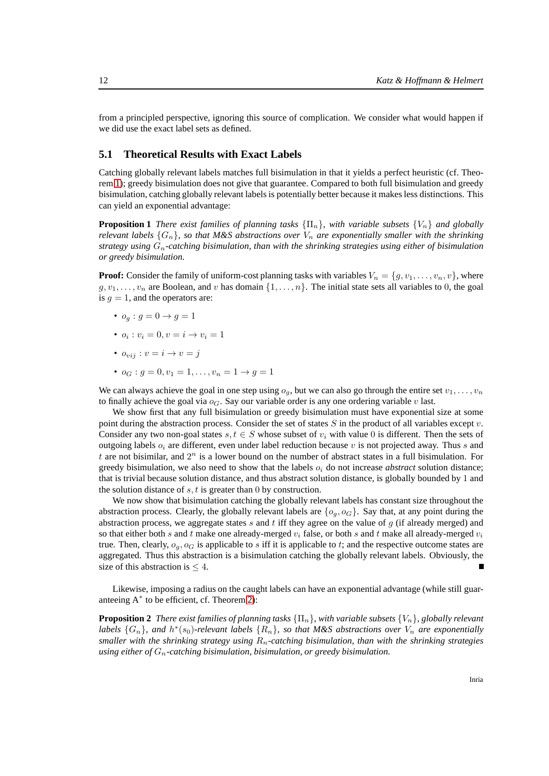from a principled perspective, ignoring this source of complication. We consider what would happen if we did use the exact label sets as defined.

#### **5.1 Theoretical Results with Exact Labels**

Catching globally relevant labels matches full bisimulation in that it yields a perfect heuristic (cf. Theorem [1\)](#page-10-2); greedy bisimulation does not give that guarantee. Compared to both full bisimulation and greedy bisimulation, catching globally relevant labels is potentially better because it makes less distinctions. This can yield an exponential advantage:

<span id="page-13-0"></span>**Proposition 1** *There exist families of planning tasks*  $\{\Pi_n\}$ *, with variable subsets*  $\{V_n\}$  *and globally relevant labels*  $\{G_n\}$ , so that M&S abstractions over  $V_n$  are exponentially smaller with the shrinking *strategy using* Gn*-catching bisimulation, than with the shrinking strategies using either of bisimulation or greedy bisimulation.*

**Proof:** Consider the family of uniform-cost planning tasks with variables  $V_n = \{g, v_1, \ldots, v_n, v\}$ , where  $g, v_1, \ldots, v_n$  are Boolean, and v has domain  $\{1, \ldots, n\}$ . The initial state sets all variables to 0, the goal is  $q = 1$ , and the operators are:

- $o_q: g=0 \rightarrow g=1$
- $o_i : v_i = 0, v = i \rightarrow v_i = 1$
- $o_{vij}: v = i \rightarrow v = j$
- $o_G : g = 0, v_1 = 1, \ldots, v_n = 1 \rightarrow g = 1$

We can always achieve the goal in one step using  $o_q$ , but we can also go through the entire set  $v_1, \ldots, v_n$ to finally achieve the goal via  $o<sub>G</sub>$ . Say our variable order is any one ordering variable v last.

We show first that any full bisimulation or greedy bisimulation must have exponential size at some point during the abstraction process. Consider the set of states  $S$  in the product of all variables except  $v$ . Consider any two non-goal states  $s, t \in S$  whose subset of  $v_i$  with value 0 is different. Then the sets of outgoing labels  $o_i$  are different, even under label reduction because v is not projected away. Thus s and t are not bisimilar, and  $2^n$  is a lower bound on the number of abstract states in a full bisimulation. For greedy bisimulation, we also need to show that the labels  $o_i$  do not increase *abstract* solution distance; that is trivial because solution distance, and thus abstract solution distance, is globally bounded by 1 and the solution distance of  $s, t$  is greater than 0 by construction.

We now show that bisimulation catching the globally relevant labels has constant size throughout the abstraction process. Clearly, the globally relevant labels are  $\{o_q, o_G\}$ . Say that, at any point during the abstraction process, we aggregate states  $s$  and  $t$  iff they agree on the value of  $g$  (if already merged) and so that either both s and t make one already-merged  $v_i$  false, or both s and t make all already-merged  $v_i$ true. Then, clearly,  $o_q$ ,  $o_q$  is applicable to s iff it is applicable to t; and the respective outcome states are aggregated. Thus this abstraction is a bisimulation catching the globally relevant labels. Obviously, the size of this abstraction is  $\leq 4$ .

<span id="page-13-1"></span>Likewise, imposing a radius on the caught labels can have an exponential advantage (while still guaranteeing A<sup>∗</sup> to be efficient, cf. Theorem [2\)](#page-12-1):

**Proposition 2** *There exist families of planning tasks*  $\{\Pi_n\}$ *, with variable subsets*  $\{V_n\}$ *, globally relevant* labels  $\{G_n\}$ , and  $h^*(s_0)$ -relevant labels  $\{R_n\}$ , so that M&S abstractions over  $V_n$  are exponentially *smaller with the shrinking strategy using* Rn*-catching bisimulation, than with the shrinking strategies using either of* Gn*-catching bisimulation, bisimulation, or greedy bisimulation.*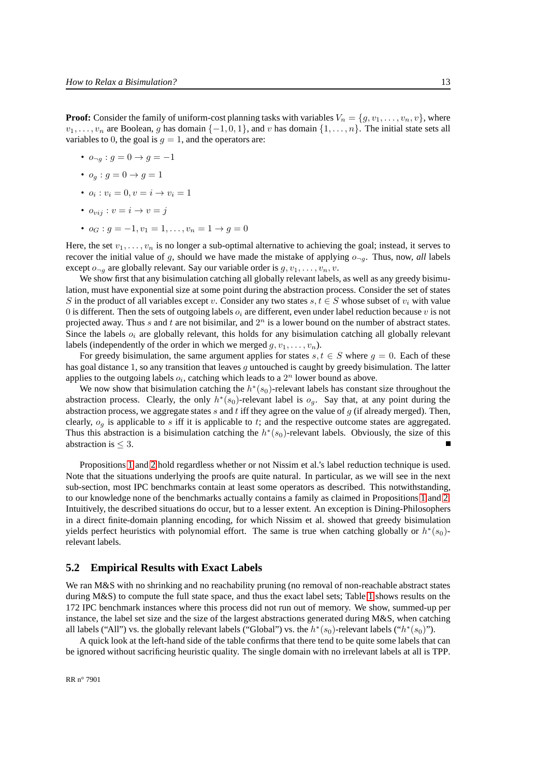**Proof:** Consider the family of uniform-cost planning tasks with variables  $V_n = \{g, v_1, \ldots, v_n, v\}$ , where  $v_1, \ldots, v_n$  are Boolean, g has domain  $\{-1, 0, 1\}$ , and v has domain  $\{1, \ldots, n\}$ . The initial state sets all variables to 0, the goal is  $q = 1$ , and the operators are:

- $o_{\neg a}: q = 0 \to q = -1$
- $o_q: q=0 \rightarrow q=1$
- $o_i : v_i = 0, v = i \rightarrow v_i = 1$
- $o_{vii}$ :  $v = i \rightarrow v = j$
- $o_G : q = -1, v_1 = 1, \ldots, v_n = 1 \rightarrow q = 0$

Here, the set  $v_1, \ldots, v_n$  is no longer a sub-optimal alternative to achieving the goal; instead, it serves to recover the initial value of g, should we have made the mistake of applying  $o_{\neg q}$ . Thus, now, *all* labels except  $o_{\neg a}$  are globally relevant. Say our variable order is  $g, v_1, \ldots, v_n, v$ .

We show first that any bisimulation catching all globally relevant labels, as well as any greedy bisimulation, must have exponential size at some point during the abstraction process. Consider the set of states S in the product of all variables except v. Consider any two states  $s, t \in S$  whose subset of  $v_i$  with value 0 is different. Then the sets of outgoing labels  $o_i$  are different, even under label reduction because v is not projected away. Thus s and t are not bisimilar, and  $2<sup>n</sup>$  is a lower bound on the number of abstract states. Since the labels  $o_i$  are globally relevant, this holds for any bisimulation catching all globally relevant labels (independently of the order in which we merged  $g, v_1, \ldots, v_n$ ).

For greedy bisimulation, the same argument applies for states  $s, t \in S$  where  $g = 0$ . Each of these has goal distance 1, so any transition that leaves q untouched is caught by greedy bisimulation. The latter applies to the outgoing labels  $o_i$ , catching which leads to a  $2^n$  lower bound as above.

We now show that bisimulation catching the  $h^*(s_0)$ -relevant labels has constant size throughout the abstraction process. Clearly, the only  $h^*(s_0)$ -relevant label is  $o_g$ . Say that, at any point during the abstraction process, we aggregate states  $s$  and  $t$  iff they agree on the value of  $g$  (if already merged). Then, clearly,  $o<sub>q</sub>$  is applicable to s iff it is applicable to t; and the respective outcome states are aggregated. Thus this abstraction is a bisimulation catching the  $h^*(s_0)$ -relevant labels. Obviously, the size of this abstraction is  $\leq 3$ .

Propositions [1](#page-13-0) and [2](#page-13-1) hold regardless whether or not Nissim et al.'s label reduction technique is used. Note that the situations underlying the proofs are quite natural. In particular, as we will see in the next sub-section, most IPC benchmarks contain at least some operators as described. This notwithstanding, to our knowledge none of the benchmarks actually contains a family as claimed in Propositions [1](#page-13-0) and [2.](#page-13-1) Intuitively, the described situations do occur, but to a lesser extent. An exception is Dining-Philosophers in a direct finite-domain planning encoding, for which Nissim et al. showed that greedy bisimulation yields perfect heuristics with polynomial effort. The same is true when catching globally or  $h^*(s_0)$ relevant labels.

#### **5.2 Empirical Results with Exact Labels**

We ran M&S with no shrinking and no reachability pruning (no removal of non-reachable abstract states during M&S) to compute the full state space, and thus the exact label sets; Table [1](#page-15-0) shows results on the 172 IPC benchmark instances where this process did not run out of memory. We show, summed-up per instance, the label set size and the size of the largest abstractions generated during M&S, when catching all labels ("All") vs. the globally relevant labels ("Global") vs. the  $h^*(s_0)$ -relevant labels (" $h^*(s_0)$ ").

A quick look at the left-hand side of the table confirms that there tend to be quite some labels that can be ignored without sacrificing heuristic quality. The single domain with no irrelevant labels at all is TPP.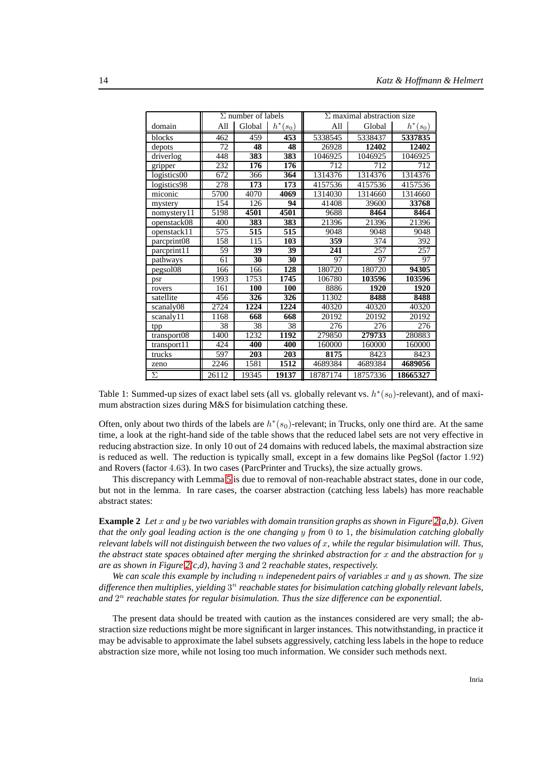|             |       | $\Sigma$ number of labels |                 |          | $\Sigma$ maximal abstraction size |            |
|-------------|-------|---------------------------|-----------------|----------|-----------------------------------|------------|
| domain      | All   | Global                    | $h^*(s_0)$      | All      | Global                            | $h^*(s_0)$ |
| blocks      | 462   | 459                       | 453             | 5338545  | 5338437                           | 5337835    |
| depots      | 72    | 48                        | 48              | 26928    | 12402                             | 12402      |
| driverlog   | 448   | 383                       | 383             | 1046925  | 1046925                           | 1046925    |
| gripper     | 232   | 176                       | 176             | 712      | 712                               | 712        |
| logistics00 | 672   | 366                       | 364             | 1314376  | 1314376                           | 1314376    |
| logistics98 | 278   | 173                       | 173             | 4157536  | 4157536                           | 4157536    |
| miconic     | 5700  | 4070                      | 4069            | 1314030  | 1314660                           | 1314660    |
| mystery     | 154   | 126                       | 94              | 41408    | 39600                             | 33768      |
| nomystery11 | 5198  | 4501                      | 4501            | 9688     | 8464                              | 8464       |
| openstack08 | 400   | 383                       | 383             | 21396    | 21396                             | 21396      |
| openstack11 | 575   | 515                       | 515             | 9048     | 9048                              | 9048       |
| parcprint08 | 158   | 115                       | 103             | 359      | 374                               | 392        |
| parcprint11 | 59    | 39                        | 39              | 241      | 257                               | 257        |
| pathways    | 61    | $\overline{30}$           | $\overline{30}$ | 97       | 97                                | 97         |
| pegsol08    | 166   | 166                       | 128             | 180720   | 180720                            | 94305      |
| psr         | 1993  | 1753                      | 1745            | 106780   | 103596                            | 103596     |
| rovers      | 161   | 100                       | 100             | 8886     | 1920                              | 1920       |
| satellite   | 456   | 326                       | 326             | 11302    | 8488                              | 8488       |
| scanaly08   | 2724  | 1224                      | 1224            | 40320    | 40320                             | 40320      |
| scanaly11   | 1168  | 668                       | 668             | 20192    | 20192                             | 20192      |
| tpp         | 38    | 38                        | 38              | 276      | 276                               | 276        |
| transport08 | 1400  | 1232                      | 1192            | 279850   | 279733                            | 280883     |
| transport11 | 424   | 400                       | 400             | 160000   | 160000                            | 160000     |
| trucks      | 597   | 203                       | 203             | 8175     | 8423                              | 8423       |
| zeno        | 2246  | 1581                      | 1512            | 4689384  | 4689384                           | 4689056    |
| $\Sigma$    | 26112 | 19345                     | 19137           | 18787174 | 18757336                          | 18665327   |

<span id="page-15-0"></span>Table 1: Summed-up sizes of exact label sets (all vs. globally relevant vs.  $h^*(s_0)$ -relevant), and of maximum abstraction sizes during M&S for bisimulation catching these.

Often, only about two thirds of the labels are  $h^*(s_0)$ -relevant; in Trucks, only one third are. At the same time, a look at the right-hand side of the table shows that the reduced label sets are not very effective in reducing abstraction size. In only 10 out of 24 domains with reduced labels, the maximal abstraction size is reduced as well. The reduction is typically small, except in a few domains like PegSol (factor 1.92) and Rovers (factor 4.63). In two cases (ParcPrinter and Trucks), the size actually grows.

This discrepancy with Lemma [5](#page-9-1) is due to removal of non-reachable abstract states, done in our code, but not in the lemma. In rare cases, the coarser abstraction (catching less labels) has more reachable abstract states:

<span id="page-15-1"></span>**Example 2** *Let* x *and* y *be two variables with domain transition graphs as shown in Figure [2\(](#page-16-0)a,b). Given that the only goal leading action is the one changing* y *from* 0 *to* 1*, the bisimulation catching globally relevant labels will not distinguish between the two values of* x*, while the regular bisimulation will. Thus, the abstract state spaces obtained after merging the shrinked abstraction for* x *and the abstraction for* y *are as shown in Figure [2\(](#page-16-0)c,d), having* 3 *and* 2 *reachable states, respectively.*

*We can scale this example by including* n *indepenedent pairs of variables* x *and* y *as shown. The size difference then multiplies, yielding* 3 <sup>n</sup> *reachable states for bisimulation catching globally relevant labels, and* 2 <sup>n</sup> *reachable states for regular bisimulation. Thus the size difference can be exponential.*

The present data should be treated with caution as the instances considered are very small; the abstraction size reductions might be more significant in larger instances. This notwithstanding, in practice it may be advisable to approximate the label subsets aggressively, catching less labels in the hope to reduce abstraction size more, while not losing too much information. We consider such methods next.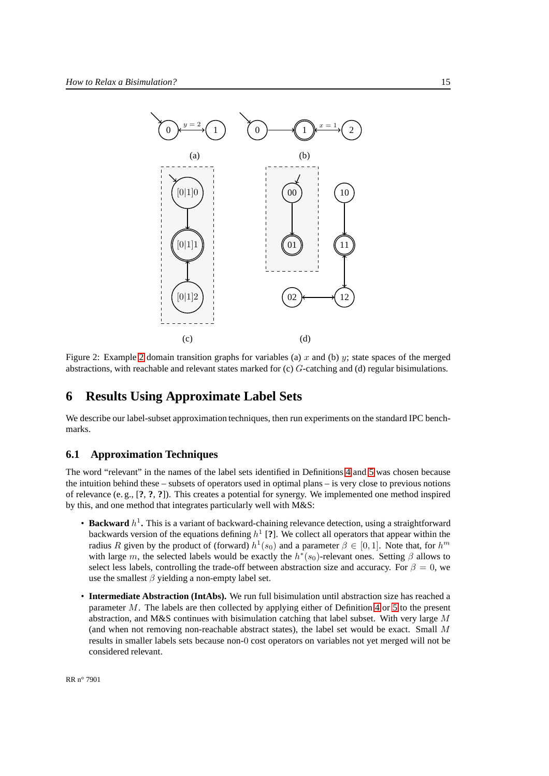

<span id="page-16-0"></span>Figure [2](#page-15-1): Example 2 domain transition graphs for variables (a)  $x$  and (b)  $y$ ; state spaces of the merged abstractions, with reachable and relevant states marked for (c) G-catching and (d) regular bisimulations.

# **6 Results Using Approximate Label Sets**

We describe our label-subset approximation techniques, then run experiments on the standard IPC benchmarks.

#### **6.1 Approximation Techniques**

The word "relevant" in the names of the label sets identified in Definitions [4](#page-10-1) and [5](#page-12-0) was chosen because the intuition behind these – subsets of operators used in optimal plans – is very close to previous notions of relevance (e. g., [**?**, **?**, **?**]). This creates a potential for synergy. We implemented one method inspired by this, and one method that integrates particularly well with M&S:

- Backward  $h^1$ . This is a variant of backward-chaining relevance detection, using a straightforward backwards version of the equations defining h 1 [**?**]. We collect all operators that appear within the radius R given by the product of (forward)  $h^1(s_0)$  and a parameter  $\beta \in [0,1]$ . Note that, for  $h^m$ with large m, the selected labels would be exactly the  $h^*(s_0)$ -relevant ones. Setting  $\beta$  allows to select less labels, controlling the trade-off between abstraction size and accuracy. For  $\beta = 0$ , we use the smallest  $\beta$  yielding a non-empty label set.
- **Intermediate Abstraction (IntAbs).** We run full bisimulation until abstraction size has reached a parameter M. The labels are then collected by applying either of Definition [4](#page-10-1) or [5](#page-12-0) to the present abstraction, and M&S continues with bisimulation catching that label subset. With very large  $M$ (and when not removing non-reachable abstract states), the label set would be exact. Small M results in smaller labels sets because non-0 cost operators on variables not yet merged will not be considered relevant.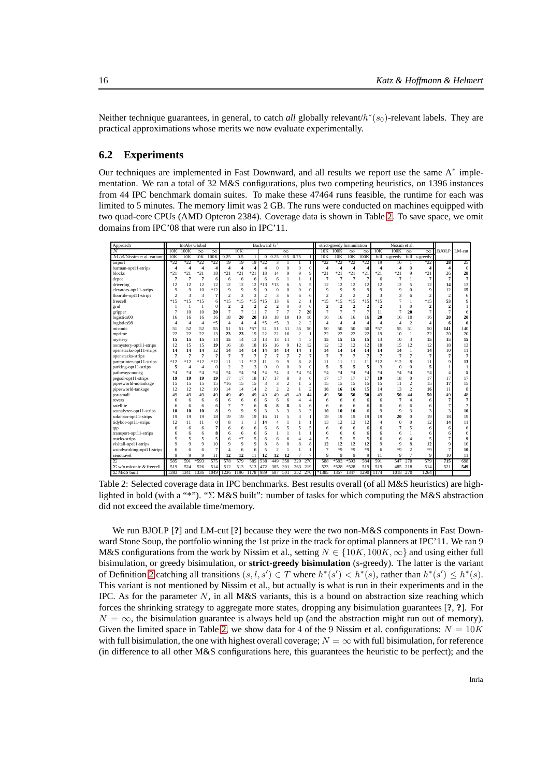Neither technique guarantees, in general, to catch *all* globally relevant/ $h^*(s_0)$ -relevant labels. They are practical approximations whose merits we now evaluate experimentally.

#### **6.2 Experiments**

Our techniques are implemented in Fast Downward, and all results we report use the same  $A^*$  implementation. We ran a total of 32 M&S configurations, plus two competing heuristics, on 1396 instances from 44 IPC benchmark domain suites. To make these 47464 runs feasible, the runtime for each was limited to 5 minutes. The memory limit was 2 GB. The runs were conducted on machines equipped with two quad-core CPUs (AMD Opteron 2384). Coverage data is shown in Table [2.](#page-17-0) To save space, we omit domains from IPC'08 that were run also in IPC'11.

| Approach                         |                | IntAbs Global  |                         |                |                          | Backward $h^1$ |                |                |                          | strict-greedy bisimulation |                |                |                | Nissim et al.            |                          |                |                |          |                |                |                         |                |
|----------------------------------|----------------|----------------|-------------------------|----------------|--------------------------|----------------|----------------|----------------|--------------------------|----------------------------|----------------|----------------|----------------|--------------------------|--------------------------|----------------|----------------|----------|----------------|----------------|-------------------------|----------------|
| N                                | 10K            | 100K           | $\infty$                | $\infty$       |                          | 10K            |                |                |                          | $\infty$                   |                |                |                | 10K 100K                 | $\infty$                 | $\infty$       | 10K            | 100K     | $\infty$       | $\infty$       | BJOLP                   | LM-cut         |
| $M/\beta$ /Nissim et al. variant | 10K            | 10K            | 10K                     | 100K           | 0.25                     | 0.5            |                | $\sigma$       | 0.25                     | 0.5                        | 0.75           |                | 10K            | 10K                      | 10K                      | 100K           | full           | s-greedy | full           | s-greedy       |                         |                |
| airport                          | *22            | $*22$          | $*22$                   | $*22$          | 19                       | 19             | 19             | $*22$          | 3                        |                            |                | $\mathbf{1}$   | $*22$          | $*22$                    | $*22$                    | $*22$          | 19             | 16       |                | $*22$          | 28                      | 25             |
| barman-opt11-strips              | 4              | $\Delta$       | $\overline{\mathbf{4}}$ | 4              | $\overline{\mathbf{4}}$  | $\Delta$       | 4              | $\Delta$       | $\theta$                 | $\Omega$                   | $\theta$       | $\Omega$       | Δ              | 4                        | $\overline{4}$           | Δ              | 4              | Δ        | $\mathbf{0}$   | 4              | $\overline{\mathbf{4}}$ | $\theta$       |
| blocks                           | $*21$          | $*21$          | $*21$                   | 18             | $*21$                    | $*21$          | $*21$          | 18             | 14                       | Q                          | $\overline{Q}$ |                | $*21$          | $*21$                    | $*21$                    | $*2$           | $*21$          | $*21$    | 9              | $*21$          | 26                      | 28             |
| depot                            | 7              | 7              | 7                       | 6              | 6                        | 6              | 6              | 6              | 6                        |                            |                |                | 7              | $\overline{7}$           | $\overline{7}$           | 7              | 6              | 7        | 1              | 7              | 7                       | 7              |
| driverlog                        | 12             | 12             | 12                      | 12             | 12                       | 12             | 12             | $*13$          | $*13$                    | 6                          | 5              |                | 12             | 12                       | 12                       | 12             | 12             | 12       | 5              | 12             | 14                      | 13             |
| elevators-opt11-strips           | Q              | 9              | 10                      | $*12$          | 9                        | $\overline{Q}$ | 9              | o              | $\theta$                 | O                          | $\Omega$       |                | 9              | $\mathbf Q$              | $\overline{9}$           | Q              | Q              | 9        | $\theta$       | 9              | 12                      | 15             |
| floortile-opt11-strips           | $\mathcal{P}$  | 3              | 3                       | 7              | $\overline{\mathcal{L}}$ | 3              | 3              | $\mathcal{I}$  | 3                        | 6                          | 6              |                | $\overline{2}$ | $\mathfrak{D}$           | $\overline{\mathcal{L}}$ |                | 3              | 3        | 6              | 2              | $\overline{c}$          | 6              |
| freecell                         | $*15$          | $*15$          | $*15$                   | 6              | $*15$                    | $*15$          | $*15$          | $*15$          | 13                       | 6                          | $\overline{2}$ |                | $*15$          | $*15$                    | $*15$                    | $*15$          | $*15$          |          | 1              | $*15$          | 53                      |                |
| grid                             |                |                |                         | $\mathbf{0}$   | $\overline{2}$           | $\overline{2}$ | $\overline{c}$ | $\overline{2}$ | $\overline{\phantom{a}}$ | O                          | $\Omega$       | O              | $\overline{2}$ | $\overline{\phantom{a}}$ | $\overline{2}$           | 2              | ž              |          | $\overline{0}$ | $\overline{2}$ | $\overline{2}$          |                |
| gripper                          |                | 10             | 10                      | 20             | $\overline{7}$           | $\overline{7}$ | 11             | 7              | $\overline{7}$           | $\overline{7}$             | $\overline{7}$ | 20             | $\overline{7}$ | $\overline{7}$           | $\overline{7}$           | $\overline{7}$ | 11             | 7        | 20             | 7              | $\overline{7}$          | 6              |
| logistics00                      | 16             | 16             | 16                      | 16             | 18                       | 20             | 20             | 18             | 18                       | 10                         | 10             | 10             | 16             | 16                       | 16                       | 16             | 20             | 16       | 10             | 16             | 20                      | 20             |
| logistics98                      | Δ              | $\overline{4}$ | $\overline{4}$          | *5             | $\overline{4}$           | $\overline{4}$ | 4              | $*5$           | $*5$                     | 3                          | $\overline{2}$ | $\mathfrak{D}$ | $\overline{4}$ | $\overline{4}$           | $\overline{4}$           | $\overline{4}$ | Δ              | л        | $\overline{2}$ | $\overline{4}$ | 6                       | 6              |
| miconic                          | 51             | 52             | 52                      | 55             | 51                       | 51             | *57            | 51             | 51                       | 51                         | 55             | 50             | 50             | 50                       | 50                       | 50             | $*57$          | 55       | 51             | 50             | 141                     | 140            |
| mprime                           | 22             | 22             | 22                      | 13             | 23                       | 23             | 19             | 22             | 22                       | 16                         | $\mathfrak{D}$ |                | 22             | 22                       | 22                       | 22             | 19             | 10       | $\mathbf{1}$   | 22             | 20                      | 20             |
| mystery                          | 15             | 15             | 15                      | 14             | 15                       | 14             | 13             | 13             | 13                       | 11                         | $\overline{4}$ | 3              | 15             | 15                       | 15                       | 15             | 13             | 10       | 3              | 15             | 15                      | 15             |
| nomystery-opt11-strips           | 12             | 15             | 15                      | 19             | 16                       | 18             | 18             | 16             | 16                       | 9                          | 12             | 12             | 12             | 12                       | 12                       | 12             | 18             | 15       | 12             | 12             | 18                      | 13             |
| openstacks-opt11-strips          | 14             | 14             | 14                      | 12             | 14                       | 14             | 14             | 14             | 14                       | 14                         | 14             |                | 14             | 14                       | 14                       | 14             | 14             | 14       | $\mathbf{1}$   | 14             | 10                      | 11             |
| openstacks-strips                | $\overline{7}$ | $\overline{7}$ | $\overline{7}$          | $\overline{7}$ | 7                        | $\overline{7}$ | $\overline{7}$ | 7              | 7                        | 7                          | 7              |                | $\overline{7}$ | $\overline{7}$           | $\overline{7}$           | $\overline{7}$ | 7              | 7        | $\overline{7}$ | 7              | $\overline{7}$          | $\overline{7}$ |
| parcprinter-opt11-strips         | $*12$          | $*12$          | $*12$                   | $*12$          | 11                       | 11             | $*12$          |                | Q                        | Q                          | 8              |                | 11             | 11                       | 11                       | 11             | $*12$          | $*12$    | 8              | 11             | 9                       | 13             |
| parking-opt11-strips             | 5              | $\overline{4}$ | $\overline{4}$          | $\overline{0}$ | $\overline{2}$           | $\overline{2}$ | 3              | $\Omega$       | $\Omega$                 | $\Omega$                   | $\theta$       |                | 5              | 5                        | 5                        | 5              | 3              | $\bf{0}$ | $\overline{0}$ | 5              |                         |                |
| pathways-noneg                   | $*4$           | $*_{4}$        | $*4$                    | $*4$           | $*_{4}$                  | $*4$           | $*_{4}$        | $*4$           | $*4$                     | $\overline{\mathbf{3}}$    | *4             | $*4$           | $*4$           | $*_{4}$                  | $*_{4}$                  | $*4$           | $*_{4}$        | $*4$     | $*4$           | $*_{4}$        | $\overline{4}$          |                |
| pegsol-opt11-strips              | 19             | 19             | 19                      | 19             | 17                       | 17             | 18             | 17             | 17                       | 8                          | 8              |                | 17             | 17                       | 17                       | 17             | 19             | 18       | $\Omega$       | 17             | 17                      | 17             |
| pipesworld-notankage             | 15             | 15             | 15                      | 15             | $*16$                    | 15             | 15             | 3              | 3                        | $\mathfrak{D}$             |                |                | 15             | 15                       | 15                       | 15             | 15             | 11       | $\overline{2}$ | 15             | 17                      | 15             |
| pipesworld-tankage               | 12             | 12             | 12                      | 10             | 14                       | 14             | 14             | $\mathcal{I}$  | $\mathfrak{D}$           | $\overline{2}$             | $\mathbf{1}$   |                | 16             | 16                       | 16                       | 15             | 14             | 13       | $\overline{2}$ | 16             | 11                      | 8              |
| psr-small                        | 49             | 49             | 49                      | 49             | 49                       | 49             | 49             | 49             | 49                       | 49                         | 49             | 44             | 49             | 50                       | 50                       | 50             | 49             | 50       | 44             | 50             | 49                      | 48             |
| rovers                           | 6              | 6              | 6                       | 6              | 6                        | 6              | 6              | 6              | 6                        | 6                          | $\overline{4}$ |                | 6              | 6                        | 6                        | 6              | 6              | 7        | $\overline{4}$ | 6              | $\overline{7}$          | $\overline{7}$ |
| satellite                        | 6              | 6              | 6                       | 6              | 7                        | 7              | 6              | 8              | 8                        | 8                          | 6              |                | 6              | 6                        | 6                        | 6              | 6              | 6        | 6              | 6              | $\overline{7}$          | 7              |
| scanalyzer-opt11-strips          | 10             | 10             | 10                      | 8              | Q                        | 9              | 9              | 3              | 3                        | 3                          | 3              |                | 10             | 10                       | 10                       | 6              | 9              | 9        | 3              | 3              | 3                       | 10             |
| sokoban-opt11-strips             | 19             | 19             | 19                      | 18             | 19                       | 19             | 19             | 16             | 11                       | 5                          | 3              |                | 19             | 19                       | 19                       | 19             | 19             | 20       | $\overline{0}$ | 19             | 18                      | 19             |
| tidybot-opt11-strips             | 12             | 11             | 11                      | $\bf{0}$       | $\mathbf{8}$             | $\mathbf{1}$   |                | 14             | $\Delta$                 |                            |                |                | 13             | 12                       | 12                       | 12             | $\overline{A}$ | $\Omega$ | $\theta$       | 12             | 14                      | 11             |
| tpp                              |                | 6              | 6                       | 7              | 6                        | 6              | 6              | 6              | 6                        | 5                          | 5              |                | 6              | 6                        | 6                        | 6              | 6              | 7        | 5              | 6              | 6                       | 6              |
| transport-opt11-strips           |                | 6              | 6                       | 8              | 6                        | 6              | 6              | 6              |                          |                            |                |                | 6              | 6                        | 6                        |                | 6              |          |                |                | 6                       | 6              |
| trucks-strips                    |                |                | 5                       | 5              | 6                        | $*7$           | 5              | 6              | 6                        | 6                          | 4              |                | $\overline{5}$ | 5                        | 5                        |                | 6              | 6        | 4              | 5              | $\overline{7}$          |                |
| visitall-opt11-strips            |                |                | Q                       | 10             | 9                        | 9              | Q              | 8              | $\mathbf{8}$             | 8                          | 8              |                | 12             | 12                       | 12                       | 12             | Q              | Q        | 8              | 12             | 9                       | 10             |
| woodworking-opt11-strips         |                |                | 6                       | 7              | $\Delta$                 | 6              | 6              | 5              | $\mathcal{P}$            |                            |                |                | $\overline{7}$ | $*Q$                     | $*9$                     | $*Q$           | 6              | $*Q$     | $\mathfrak{D}$ | $*9$           | $\overline{7}$          | 10             |
| zenotravel                       | Q              | 9              | Q                       | 11             | 12                       | 12             | 11             | 12             | 12                       | 12                         | 7              |                | $\mathbf Q$    | 9                        | $\overline{9}$           | 9              | 11             | 9        |                | 9              | 10                      | 11             |
| Σ.                               | 585            | 591            | $*593$                  | 575            | 578                      | 579            | 585            | 538            | 449                      | 358                        | 320            | 270            | 588            | $*593$                   | *593                     | 584            | 591            | 547      | 270            | 579            | 715                     | 698            |
| $\Sigma$ w/o miconic & freecell  | 519            | 524            | 526                     | 514            | 512                      | 513            | 513            | 472            | 385                      | 301                        | 263            | 219            | 523            | *528                     | $*528$                   | 519            | 519            | 485      | 218            | 514            | 521                     | 549            |
| $\Sigma$ M&S built               | 1383           | 1341           | 1336                    | 1049           | 1236                     | 1196           | 1178           | 989            | 687                      | 501                        | 352            | 270            | *1385          | 1357                     | 1347                     | 1290           | 1174           | 1018     | 270            | 1264           |                         |                |

<span id="page-17-0"></span>Table 2: Selected coverage data in IPC benchmarks. Best results overall (of all M&S heuristics) are highlighted in bold (with a "\*"). "Σ M&S built": number of tasks for which computing the M&S abstraction did not exceed the available time/memory.

We run BJOLP [**?**] and LM-cut [**?**] because they were the two non-M&S components in Fast Downward Stone Soup, the portfolio winning the 1st prize in the track for optimal planners at IPC'11. We ran 9 M&S configurations from the work by Nissim et al., setting  $N \in \{10K, 100K, \infty\}$  and using either full bisimulation, or greedy bisimulation, or **strict-greedy bisimulation** (s-greedy). The latter is the variant of Definition [2](#page-7-0) catching all transitions  $(s, l, s') \in T$  where  $h^*(s') < h^*(s)$ , rather than  $h^*(s') \leq h^*(s)$ . This variant is not mentioned by Nissim et al., but actually is what is run in their experiments and in the IPC. As for the parameter  $N$ , in all M&S variants, this is a bound on abstraction size reaching which forces the shrinking strategy to aggregate more states, dropping any bisimulation guarantees [**?**, **?**]. For  $N = \infty$ , the bisimulation guarantee is always held up (and the abstraction might run out of memory). Given the limited space in Table [2,](#page-17-0) we show data for 4 of the 9 Nissim et al. configurations:  $N = 10K$ with full bisimulation, the one with highest overall coverage;  $N = \infty$  with full bisimulation, for reference (in difference to all other M&S configurations here, this guarantees the heuristic to be perfect); and the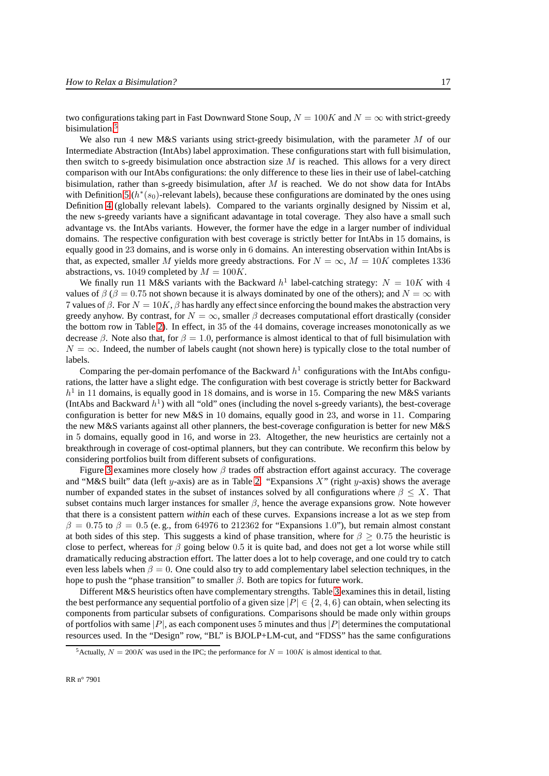two configurations taking part in Fast Downward Stone Soup,  $N = 100K$  and  $N = \infty$  with strict-greedy bisimulation.<sup>[5](#page-18-0)</sup>

We also run 4 new M&S variants using strict-greedy bisimulation, with the parameter  $M$  of our Intermediate Abstraction (IntAbs) label approximation. These configurations start with full bisimulation, then switch to s-greedy bisimulation once abstraction size  $M$  is reached. This allows for a very direct comparison with our IntAbs configurations: the only difference to these lies in their use of label-catching bisimulation, rather than s-greedy bisimulation, after  $M$  is reached. We do not show data for IntAbs with Definition [5](#page-12-0) ( $h^*(s_0)$ -relevant labels), because these configurations are dominated by the ones using Definition [4](#page-10-1) (globally relevant labels). Compared to the variants orginally designed by Nissim et al, the new s-greedy variants have a significant adavantage in total coverage. They also have a small such advantage vs. the IntAbs variants. However, the former have the edge in a larger number of individual domains. The respective configuration with best coverage is strictly better for IntAbs in 15 domains, is equally good in 23 domains, and is worse only in 6 domains. An interesting observation within IntAbs is that, as expected, smaller M yields more greedy abstractions. For  $N = \infty$ ,  $M = 10K$  completes 1336 abstractions, vs. 1049 completed by  $M = 100K$ .

We finally run 11 M&S variants with the Backward  $h^1$  label-catching strategy:  $N = 10K$  with 4 values of  $\beta$  ( $\beta = 0.75$  not shown because it is always dominated by one of the others); and  $N = \infty$  with 7 values of  $\beta$ . For  $N = 10K$ ,  $\beta$  has hardly any effect since enforcing the bound makes the abstraction very greedy anyhow. By contrast, for  $N = \infty$ , smaller  $\beta$  decreases computational effort drastically (consider the bottom row in Table [2\)](#page-17-0). In effect, in 35 of the 44 domains, coverage increases monotonically as we decrease  $\beta$ . Note also that, for  $\beta = 1.0$ , performance is almost identical to that of full bisimulation with  $N = \infty$ . Indeed, the number of labels caught (not shown here) is typically close to the total number of labels.

Comparing the per-domain perfomance of the Backward  $h<sup>1</sup>$  configurations with the IntAbs configurations, the latter have a slight edge. The configuration with best coverage is strictly better for Backward  $h<sup>1</sup>$  in 11 domains, is equally good in 18 domains, and is worse in 15. Comparing the new M&S variants (IntAbs and Backward  $h<sup>1</sup>$ ) with all "old" ones (including the novel s-greedy variants), the best-coverage configuration is better for new M&S in 10 domains, equally good in 23, and worse in 11. Comparing the new M&S variants against all other planners, the best-coverage configuration is better for new M&S in 5 domains, equally good in 16, and worse in 23. Altogether, the new heuristics are certainly not a breakthrough in coverage of cost-optimal planners, but they can contribute. We reconfirm this below by considering portfolios built from different subsets of configurations.

Figure [3](#page-19-0) examines more closely how  $\beta$  trades off abstraction effort against accuracy. The coverage and "M&S built" data (left y-axis) are as in Table [2.](#page-17-0) "Expansions X" (right y-axis) shows the average number of expanded states in the subset of instances solved by all configurations where  $\beta \leq X$ . That subset contains much larger instances for smaller  $\beta$ , hence the average expansions grow. Note however that there is a consistent pattern *within* each of these curves. Expansions increase a lot as we step from  $\beta = 0.75$  to  $\beta = 0.5$  (e.g., from 64976 to 212362 for "Expansions 1.0"), but remain almost constant at both sides of this step. This suggests a kind of phase transition, where for  $\beta \geq 0.75$  the heuristic is close to perfect, whereas for  $\beta$  going below 0.5 it is quite bad, and does not get a lot worse while still dramatically reducing abstraction effort. The latter does a lot to help coverage, and one could try to catch even less labels when  $\beta = 0$ . One could also try to add complementary label selection techniques, in the hope to push the "phase transition" to smaller  $\beta$ . Both are topics for future work.

Different M&S heuristics often have complementary strengths. Table [3](#page-19-1) examines this in detail, listing the best performance any sequential portfolio of a given size  $|P| \in \{2, 4, 6\}$  can obtain, when selecting its components from particular subsets of configurations. Comparisons should be made only within groups of portfolios with same  $|P|$ , as each component uses 5 minutes and thus  $|P|$  determines the computational resources used. In the "Design" row, "BL" is BJOLP+LM-cut, and "FDSS" has the same configurations

<span id="page-18-0"></span><sup>&</sup>lt;sup>5</sup>Actually,  $N = 200K$  was used in the IPC; the performance for  $N = 100K$  is almost identical to that.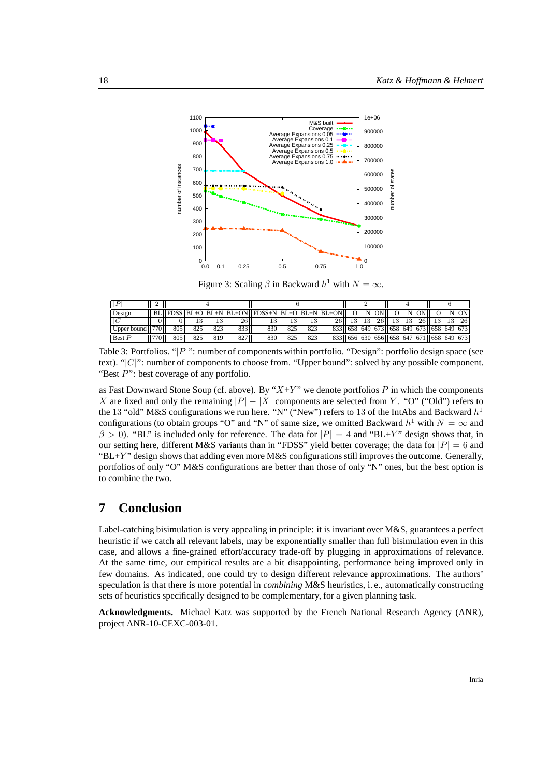

<span id="page-19-0"></span>Figure 3: Scaling  $\beta$  in Backward  $h^1$  with  $N = \infty$ .

| Design          |        |     |     |     |        | $\parallel$ BL $\parallel$ FDSS BL+O BL+N BL+ON $\parallel$ FDSS+N BL+O BL+N BL+ON $\parallel$ O |     |     |  |       |     | N ON |          | N |                                               |    | ON.  |
|-----------------|--------|-----|-----|-----|--------|--------------------------------------------------------------------------------------------------|-----|-----|--|-------|-----|------|----------|---|-----------------------------------------------|----|------|
|                 |        |     |     |     | 26 II  | 13'                                                                                              | 13  | 13  |  | 26 13 | -13 |      | 26 13 13 |   | 26 13                                         | 13 | -261 |
| Upper bound 770 |        | 805 | 825 | 823 | 833 II | 830 I                                                                                            | 825 | 823 |  |       |     |      |          |   | 833 658 649 673 658 649 673 658 649 673       |    |      |
| Best P          | 770 II | 805 | 825 | 819 | 827 II | 830                                                                                              | 825 | 823 |  |       |     |      |          |   | 833   656 630 656   658 647 671   658 649 673 |    |      |

<span id="page-19-1"></span>Table 3: Portfolios. "[P]": number of components within portfolio. "Design": portfolio design space (see text). " $|C|$ ": number of components to choose from. "Upper bound": solved by any possible component. "Best  $P$ ": best coverage of any portfolio.

as Fast Downward Stone Soup (cf. above). By " $X+Y$ " we denote portfolios P in which the components X are fixed and only the remaining  $|P| - |X|$  components are selected from Y. "O" ("Old") refers to the 13 "old" M&S configurations we run here. "N" ("New") refers to 13 of the IntAbs and Backward  $h^1$ configurations (to obtain groups "O" and "N" of same size, we omitted Backward  $h^1$  with  $N = \infty$  and  $\beta > 0$ ). "BL" is included only for reference. The data for  $|P| = 4$  and "BL+Y" design shows that, in our setting here, different M&S variants than in "FDSS" yield better coverage; the data for  $|P| = 6$  and " $BL+Y$ " design shows that adding even more M&S configurations still improves the outcome. Generally, portfolios of only "O" M&S configurations are better than those of only "N" ones, but the best option is to combine the two.

# **7 Conclusion**

Label-catching bisimulation is very appealing in principle: it is invariant over M&S, guarantees a perfect heuristic if we catch all relevant labels, may be exponentially smaller than full bisimulation even in this case, and allows a fine-grained effort/accuracy trade-off by plugging in approximations of relevance. At the same time, our empirical results are a bit disappointing, performance being improved only in few domains. As indicated, one could try to design different relevance approximations. The authors' speculation is that there is more potential in *combining* M&S heuristics, i. e., automatically constructing sets of heuristics specifically designed to be complementary, for a given planning task.

**Acknowledgments.** Michael Katz was supported by the French National Research Agency (ANR), project ANR-10-CEXC-003-01.